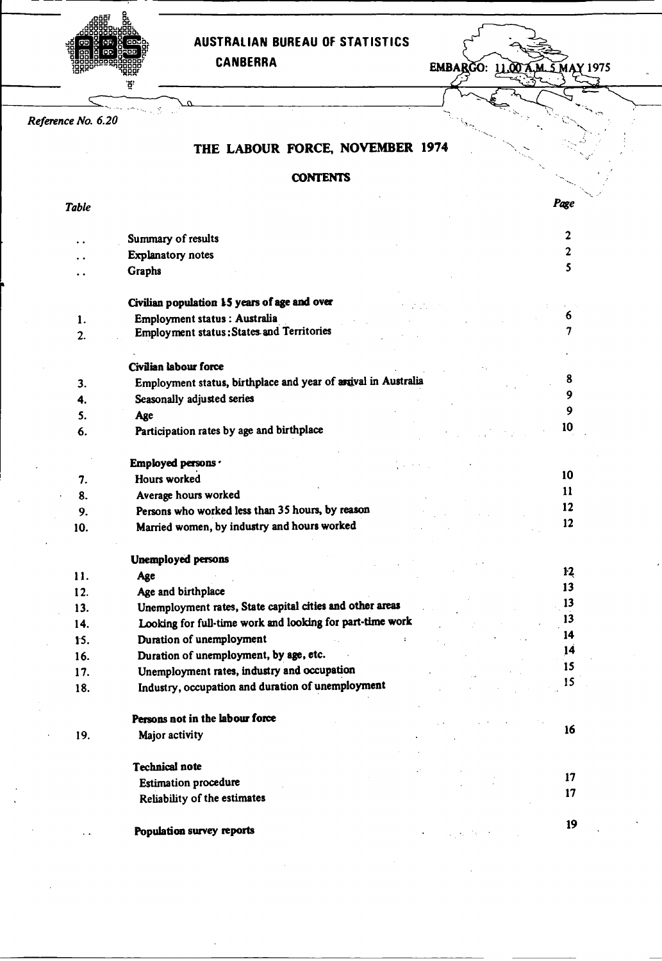AUSTRALIAN BUREAU OF STATISTICS<br>CANBERRA

**EMBARGO: 11.00 A.M. 5 MAY 1975** 

*Reference No. 6.20*

'ដូ'

# THE LABOUR FORCE, NOVEMBER **1974**

## **CONTENTS**

*Table Page*

|     | Summary of results                                             | $\overline{\mathbf{c}}$ |
|-----|----------------------------------------------------------------|-------------------------|
|     | <b>Explanatory notes</b>                                       | $\mathbf{2}$            |
|     | Graphs                                                         | 5                       |
|     | Civilian population 15 years of age and over                   |                         |
| 1.  | Employment status : Australia                                  | 6                       |
| 2.  | Employment status: States and Territories                      | 7                       |
|     | Civilian labour force                                          |                         |
| 3.  | Employment status, birthplace and year of arrival in Australia | 8                       |
| 4.  | Seasonally adjusted series                                     | 9                       |
| 5.  | Age                                                            | 9                       |
| 6.  | Participation rates by age and birthplace                      | 10                      |
|     | Employed persons ·                                             |                         |
| 7.  | Hours worked                                                   | 10                      |
| 8.  | Average hours worked                                           | 11                      |
| 9.  | Persons who worked less than 35 hours, by reason               | 12                      |
| 10. | Married women, by industry and hours worked                    | 12                      |
|     | <b>Unemployed persons</b>                                      |                         |
| 11. | Age                                                            | 12                      |
| 12. | Age and birthplace                                             | 13                      |
| 13. | Unemployment rates, State capital cities and other areas       | 13                      |
| 14. | Looking for full-time work and looking for part-time work      | 13                      |
| 15. | Duration of unemployment                                       | 14                      |
| 16. | Duration of unemployment, by age, etc.                         | 14                      |
| 17. | Unemployment rates, industry and occupation                    | 15                      |
| 18. | Industry, occupation and duration of unemployment              | 15                      |
|     | Persons not in the labour force                                |                         |
| 19. | Major activity                                                 | 16                      |
|     | <b>Technical note</b>                                          |                         |
|     | <b>Estimation procedure</b>                                    | 17                      |
|     | Reliability of the estimates                                   | 17                      |
|     | Population survey reports                                      | 19                      |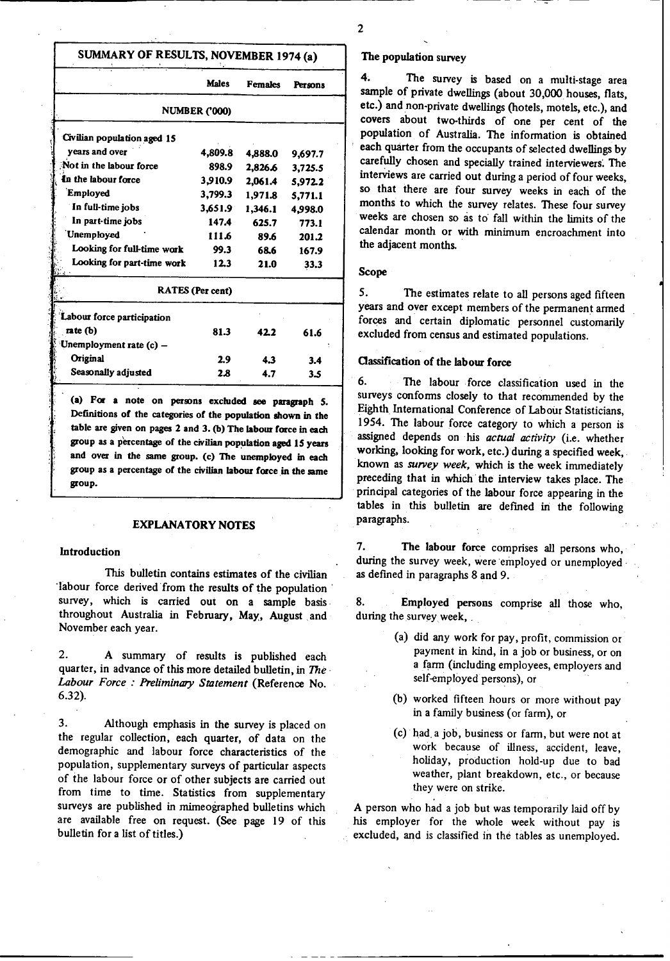# **SUMMARY OF RESULTS, NOVEMBER 1974 (a)**

|                             | <b>Males</b>         | <b>Females</b> | Persons |
|-----------------------------|----------------------|----------------|---------|
|                             | <b>NUMBER ('000)</b> |                |         |
| Civilian population aged 15 |                      |                |         |
| years and over              | 4,809.8              | 4,888.0        | 9,697.7 |
| Not in the labour force     | 898.9                | 2,826.6        | 3.725.5 |
| In the labour force         | 3,910.9              | 2,061.4        | 5,972.2 |
| Employed                    | 3,799.3              | 1,971.8        | 5,771.1 |
| In full-time jobs           | 3,651.9              | 1,346.1        | 4.998.0 |
| In part-time jobs           | 147.4                | 625.7          | 773.1   |
| Unemployed                  | 111.6                | 89.6           | 201.2   |
| Looking for full-time work  | 99.3                 | 68.6           | 167.9   |
| Looking for part-time work  | 12.3                 | 21.0           | 33.3    |
|                             | RATES (Per cent)     |                |         |
| Labour force participation  |                      |                |         |
| rate $(b)$                  | 81.3                 | 422            | 61.6    |
| Unemployment rate (c) -     |                      |                |         |
| Original                    | 2.9                  | 4.3            | 3.4     |
| Seasonally adjusted         | 2.8                  | 4.7            | 3.5     |
|                             |                      |                |         |

**(a) For a note on persons excluded see paragraph 5. Definitions of the categories of the population shown in the table are given on pages 2 and 3. (b) The labour force in each group as a percentage of the civilian population aged 15 years and over in the same group. (c) The unemployed in each group as a percentage of the civilian labour force in the same group.**

#### **EXPLANATORY NOTES**

### **Introduction**

This bulletin **contains estimates** of the civilian 'labour force derived from the results of the population survey, which is carried **out on a sample basis** throughout Australia in February, May, August and November each year.

2. A summary of results is published each quarter, in advance of this more detailed bulletin, in *The Labour Force : Preliminary Statement* (Reference No. 6.32).

3. Although emphasis in the survey is placed on the regular collection, each quarter, of data on the demographic and labour force characteristics of the population, supplementary surveys of particular aspects of the labour force or of other subjects are carried out from time to time. Statistics from supplementary surveys are published in mimeographed bulletins which are available free on request. (See page 19 of this bulletin for a list of titles.)

### **The population survey**

4. The survey **is based on** a **multi-stage area sample** of private **dwellings** (about 30,000 **houses, flats, etc.) and** non-private **dwellings** (hotels, **motels, etc.),** and **covers** about two-thirds of **one per** cent of the **population** of Australia. The information **is obtained** carefully chosen and specially trained interviewers. The **interviews are carried** out during a period of four weeks, so that there are four survey weeks in each of the months to which the survey relates. These four survey weeks are chosen so as to fall within the limits of the calendar month or with minimum encroachment into the adjacent months.

### Scope

5. The estimates **relate to all** persons aged fifteen **years and** over except members of the **permanent armed** forces and certain diplomatic personnel customarily excluded from census and estimated populations.

### Classification **of the labour force**

6. The labour force classification used in the surveys conforms closely to that recommended by the Eighth International Conference of Labour Statisticians, 1954. The labour force category to which a person is assigned depends on his actual activity (i.e. whether working, looking for work, etc.) during a specified week, known as *survey week,* which is the week immediately preceding that in which the interview takes place. The principal categories of the labour force appearing in the **tables** in this bulletin are defined in the following **paragraphs.**

7. The **labour force** comprises all persons who, during the survey week, were employed or unemployed as defined in paragraphs 8 and 9.

8. Employed **persons** comprise all those who, during the survey week,

- (a) did any work for pay, profit, commission or payment in kind, in a job or business, or on a farm (including employees, employers and self-employed persons), or
- (b) worked fifteen hours or more without pay in a family business (or farm), or
- (c) had. a job, business or farm, but were not at work because of illness, accident, leave, holiday, production hold-up due to bad weather, plant breakdown, etc., or because they were on strike.

A person who had a job but was temporarily laid off by his employer for the whole week without pay is excluded, and is classified in the tables as unemployed.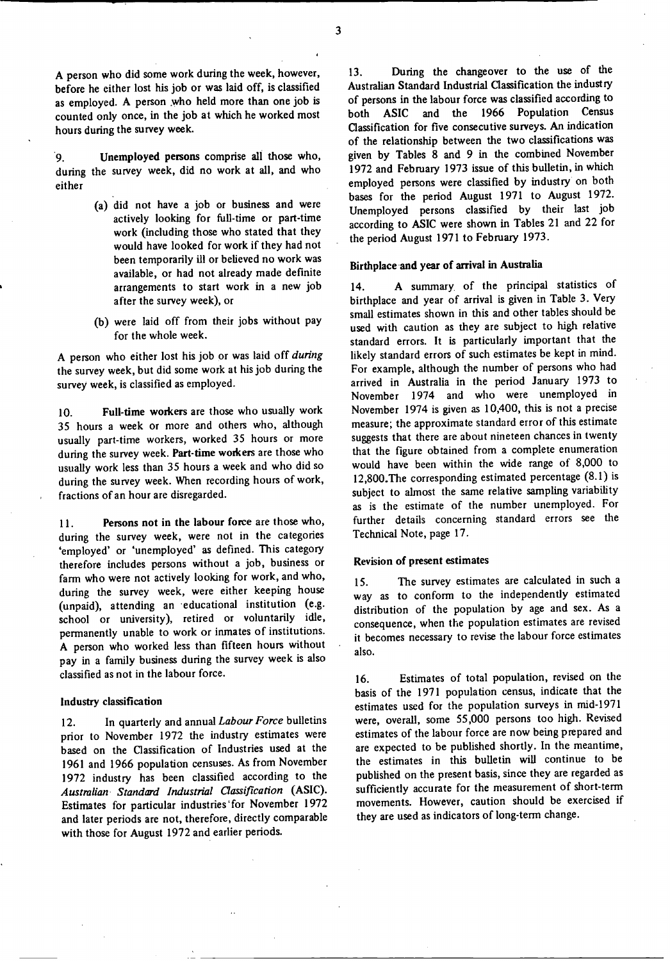A person who did some work during the week, however, before he either lost his job or was laid off, is classified as employed. A person .who held more than one job is counted only once, in the job at which he worked most hours during the survey week.

9. during the survey week, did no work at all, and who **either Unemployed persons comprise** all those who,

- **(a) did** not have a job or business **and were** actively looking for full-time or part-time work (including those who stated that they would have looked for work if they had not been temporarily ill or believed no work was available, or had not already made definite arrangements to start work in a new **job** after the survey week), or
- (b) were laid off from their jobs without pay for the whole week.

A person who either lost his job or was laid off *during* the survey week, but did some work at his job during the survey week, is classified as employed.

**10. Full-time workers are** those who usually work 35 hours a week or more and others who, although usually part-time workers, worked 35 hours or more during the survey week. **Part-time workers** are those who usually work less than 35 hours a week and who did so during the survey week. When recording hours of work, fractions of an hour are disregarded.

**11. Persons not in the labour force** are those who, during the survey week, **were not in** the categories 'employed' or 'unemployed' as defined. This category therefore includes persons without **a job, business or** farm who were not actively looking for work, and who, during the survey week, were either keeping house (unpaid), attending an educational institution (e.g. school or university), retired or voluntarily idle, permanently unable to work or inmates of institutions. A person who worked less than fifteen hours without pay in a family business during the survey week is also classified as not in the labour force.

### Industry **classification**

12. In quarterly **and** annual *Labour Force* bulletins prior to November 1972 the industry estimates **were** based on the Classification of Industries used at the 1961 and 1966 population censuses. As from November 1972 industry has been classified according to the *Australian Standard Industrial Classification* (ASIC). Estimates for particular industries'for November 1972 and later periods **are not,** therefore, directly comparable with those for August 1972 and earlier periods.

13. During the changeover to the use of the Australian Standard Industrial Classification the industry of persons in the labour force was classified according to both ASIC and the 1966 Population Census Classification for five consecutive surveys. An indication of the relationship between the two classifications was given by Tables 8 and 9 in the combined November 1972 and February 1973 issue of this bulletin, in which employed persons were classified by industry on both bases for the period August 1971 to August 1972. Unemployed persons classified by their last job according to ASIC were shown in Tables 21 and 22 for the period August 1971 to February 1973.

## **Birthplace and year of arrival in Australia**

14. A summary of the principal statistics of birthplace and year of arrival is given in Table 3. Very small estimates shown in this and other tables should be used with caution as they are subject to high relative standard errors. It is particularly important that the likely standard errors of such estimates be kept in mind. For example, although the number of persons who had arrived in Australia in the period January 1973 to November 1974 and who were unemployed in November 1974 is given as 10,400, this is not a precise measure; the approximate standard error of this estimate suggests that there are about nineteen chances in twenty that the figure obtained from a complete enumeration would have been within the wide range of 8,000 to 12,800.The corresponding estimated percentage (8.1) is subject to almost the same relative sampling variability as is the estimate of the number unemployed. For further details concerning standard errors see the Technical Note, page 17.

#### **Revision of present estimates**

15. The survey estimates are calculated in such a way as to conform to the independently estimated distribution of the population by age and sex. As a consequence, when the population estimates are revised it becomes necessary to revise the labour force estimates also.

16. Estimates of total population, revised on the basis of the 1971 population census, indicate that the estimates used for the population surveys in mid-1971 were, overall, some 55,000 persons too high. Revised estimates of the labour force are now being prepared and are expected to be published shortly. In the meantime, the estimates in this bulletin will continue to be published on the present basis, since they are regarded as sufficiently accurate for the measurement of short-term movements. However, caution should be exercised if they are used as indicators of long-term change.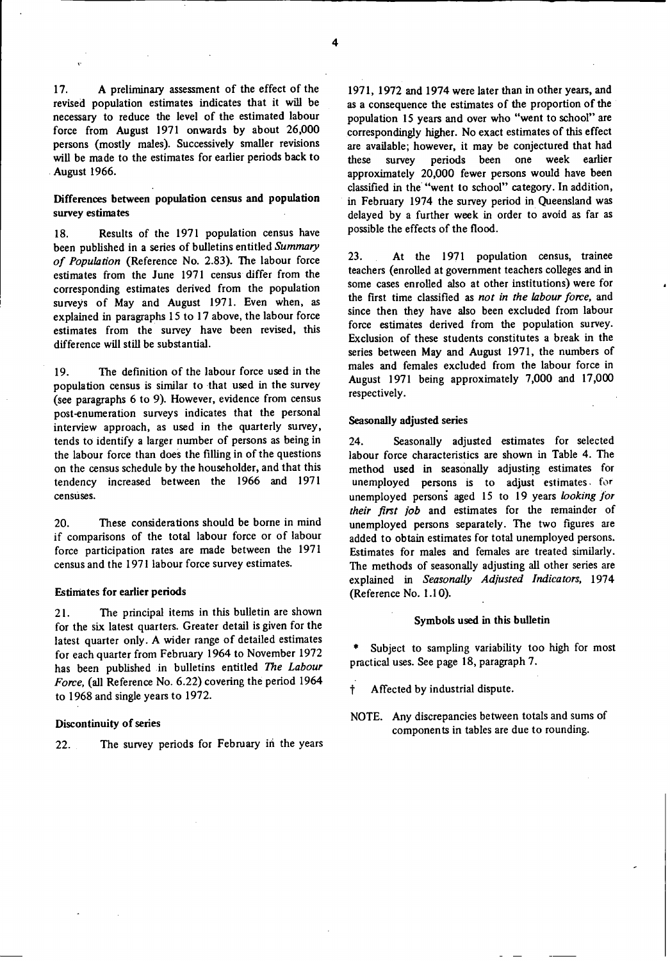17. A preliminary **assessment** of the effect of the revised population **estimates indicates** that it will be necessary to reduce the level of the estimated labour force from August 1971 onwards by about 26,000 **persons** (mostly **males).** Successively **smaller revisions** will be **made to the estimates** for earlier periods back to August 1966.

### **Differences between population census and population survey estimates**

18. **Results** of the 1971 population **census have** been published **in a series of bulletins** entitled Summary *of Population* (Reference No. 2.83). The labour force estimates from the June 1971 census differ from the corresponding **estimates** derived from the population surveys of May and August 1971. Even when, as explained **in paragraphs** 15 to 17 above, the labour force **estimates** from the survey have been revised, this difference will still be substantial.

19. The definition of the labour force used in the population **census is similar** to that used in the survey (see paragraphs 6 to 9). However, evidence from census post-enumeration surveys indicates that the personal interview approach, **as used** in the quarterly survey, tends to identify **a larger** number of **persons as being in** the labour force than **does** the filling in of the questions on the census schedule by the householder, and that this tendency **increased** between the 1966 and 1971 **censuses.**

20. These considerations should be borne in mind if comparisons of the total labour force or of labour force participation rates are made between the 1971 census and the 1971 labour force survey estimates.

#### **Estimates for earlier periods**

21. The principal items **in** this bulletin are shown for the six latest quarters. Greater detail is given for the latest quarter only. A wider range of detailed estimates for each quarter from February 1964 to November 1972 has been published in bulletins entitled *The Labour Force,* (all Reference No. 6.22) covering the period 1964 to 1968 and single **years** to 1972.

### **Discontinuity of** series

22. The survey periods for February in the years

1971, 1972 and 1974 were later than in other years, and as a consequence the estimates of the proportion of the population 15 years and over who "went to school" are correspondingly higher. No exact estimates of this effect are available; however, it may be conjectured that had these survey periods been one week earlier approximately 20,000 fewer persons would have been classified in the "went to school" category. In addition, in February 1974 the survey period in Queensland was delayed by a further week in order to avoid as far as possible the effects of the flood.

23. At the 1971 population **census, trainee** teachers (enrolled at government teachers colleges and in **some cases** enrolled also at other institutions) were for the first time classified as *not in the labour force,* and since then they have also been excluded from labour force estimates derived from the population survey. Exclusion of these students constitutes a break in the **series** between May and August 1971, the numbers of males and females excluded from the labour force in August 1971 being approximately 7,000 and 17,000 respectively.

### **Seasonally adjusted series**

24. Seasonally **adjusted estimates** for selected labour force characteristics are shown in Table 4. The method used in seasonally adjusting estimates for unemployed persons is to adjust estimates, for unemployed persons aged 15 to 19 years *looking for their first job* and estimates for the remainder of unemployed persons separately. The two figures are added to obtain estimates for total unemployed persons. Estimates for males and females are treated similarly. The methods of seasonally adjusting all other series are explained in *Seasonally Adjusted Indicators,* 1974 (Reference No. 1.10).

### **Symbols used in this bulletin**

Subject to sampling variability too high for most practical **uses.** See page 18, paragraph 7.

- t Affected by industrial dispute.
- NOTE. Any discrepancies between totals and sums of components in tables are due to rounding.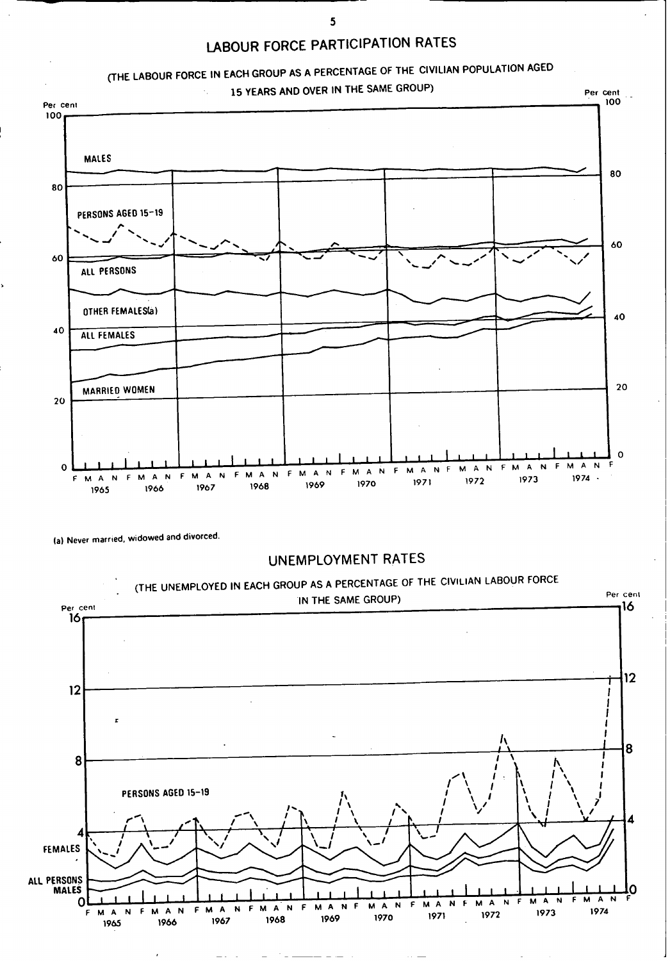



**(a) Never married, widowed and divorced.**



**5**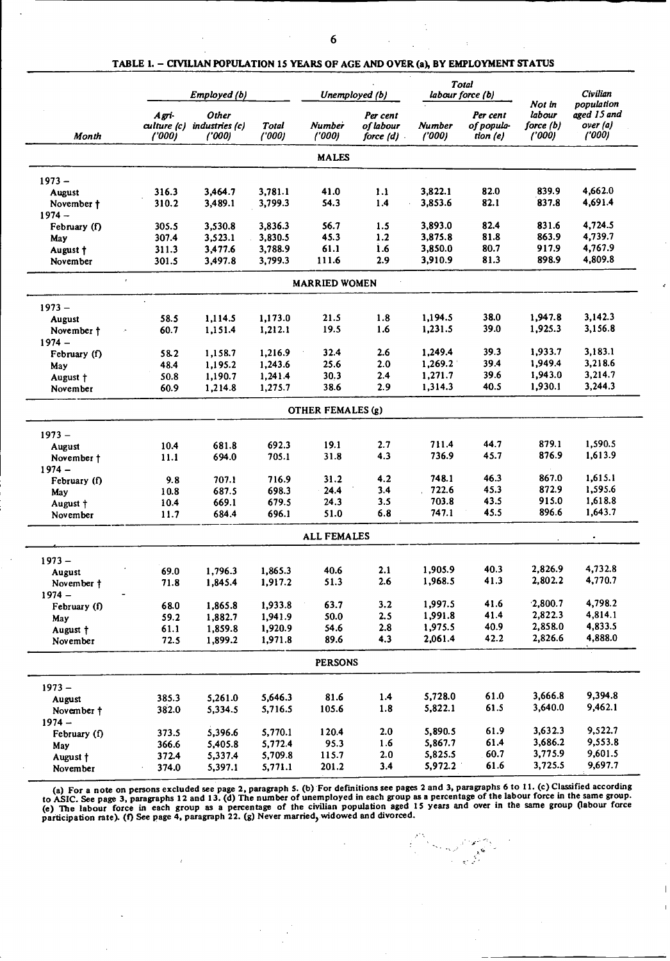|               |                                               | Employed (b)                      |                |                        | Unemployed (b)                     |                         | <b>Total</b><br>labour force (b)   |                                           | <b>Civilian</b><br>population<br>aged 15 and<br>over (a)<br>('000) |
|---------------|-----------------------------------------------|-----------------------------------|----------------|------------------------|------------------------------------|-------------------------|------------------------------------|-------------------------------------------|--------------------------------------------------------------------|
| Month         | $A g\tau i$<br>$\alpha$ lture $(c)$<br>('000) | Other<br>industries (c)<br>('000) | Total<br>(000) | <b>Number</b><br>(000) | Per cent<br>of labour<br>force (d) | <b>Number</b><br>('000) | Per cent<br>of popula-<br>tion (e) | Not in<br>labour<br>force $(b)$<br>('000) |                                                                    |
|               |                                               |                                   |                | <b>MALES</b>           |                                    |                         |                                    |                                           |                                                                    |
| $1973 -$      |                                               |                                   |                |                        |                                    |                         |                                    |                                           |                                                                    |
| <b>August</b> | 316.3                                         | 3,464.7                           | 3,781.1        | 41.0                   | 1.1                                | 3,822.1                 | 82.0                               | 839.9                                     | 4,662.0                                                            |
| November †    | 310.2                                         | 3,489.1                           | 3,799.3        | 54.3                   | 1.4                                | 3,853.6                 | 82.1                               | 837.8                                     | 4,691.4                                                            |
| $1974 -$      |                                               |                                   |                |                        |                                    |                         |                                    |                                           |                                                                    |
| February (f)  | 305.5                                         | 3,530.8                           | 3,836.3        | 56.7                   | 1.5                                | 3,893.0                 | 82.4                               | 831.6                                     | 4,724.5                                                            |
| May           | 307.4                                         | 3,523.1                           | 3,830.5        | 45.3                   | 1.2                                | 3,875.8                 | 81.8                               | 863.9                                     | 4,739.7                                                            |
| August †      | 311.3                                         | 3,477.6                           | 3,788.9        | 61.1                   | 1.6                                | 3,850.0                 | 80.7                               | 917.9                                     | 4,767.9                                                            |
| November      | 301.5                                         | 3,497.8                           | 3,799.3        | 111.6                  | 2.9                                | 3,910.9                 | 81.3                               | 898.9                                     | 4,809.8                                                            |
|               | $\bar{r}$                                     |                                   |                | <b>MARRIED WOMEN</b>   |                                    |                         |                                    |                                           |                                                                    |
| $1973 -$      |                                               |                                   |                |                        |                                    |                         |                                    |                                           |                                                                    |
| <b>August</b> | 58.5                                          | 1,114.5                           | 1,173.0        | 21.5                   | 1.8                                | 1,194.5                 | 38.0                               | 1,947.8                                   | 3,142.3                                                            |
| November †    | 60.7                                          | 1,151.4                           | 1,212.1        | 19.5                   | 1.6                                | 1,231.5                 | 39.0                               | 1,925.3                                   | 3,156.8                                                            |
| $1974 -$      |                                               |                                   |                |                        |                                    |                         |                                    |                                           |                                                                    |
|               | 58.2                                          | 1,158.7                           | 1,216.9        | 32.4                   | 2.6                                | 1,249.4                 | 39.3                               | 1,933.7                                   | 3,183.1                                                            |
| February (f)  |                                               |                                   | 1,243.6        | 25.6                   | 2.0                                | 1,269.2                 | 39.4                               | 1,949.4                                   | 3,218.6                                                            |
| May           | 48.4                                          | 1,195.2                           |                | 30.3                   | 2.4                                | 1,271.7                 | 39.6                               | 1,943.0                                   | 3,214.7                                                            |
| August †      | 50.8                                          | 1,190.7                           | 1,241.4        |                        |                                    |                         | 40.5                               | 1,930.1                                   | 3,244.3                                                            |
| November      | 60.9                                          | 1,214.8                           | 1,275.7        | 38.6                   | 2.9                                | 1,314.3                 |                                    |                                           |                                                                    |
|               |                                               |                                   |                | OTHER FEMALES (g)      |                                    |                         |                                    |                                           |                                                                    |
| $1973 -$      |                                               |                                   |                |                        |                                    |                         |                                    |                                           |                                                                    |
| <b>August</b> | 10.4                                          | 681.8                             | 692.3          | 19.1                   | 2.7                                | 711.4                   | 44.7                               | 879.1                                     | 1,590.5                                                            |
| November +    | 11.1                                          | 694.0                             | 705.1          | 31.8                   | 4.3                                | 736.9                   | 45.7                               | 876.9                                     | 1,613.9                                                            |
| $1974 -$      |                                               |                                   |                |                        |                                    |                         |                                    |                                           |                                                                    |
| February (f)  | 9.8                                           | 707.1                             | 716.9          | 31.2                   | 4.2                                | 748.1                   | 46.3                               | 867.0                                     | 1,615.1                                                            |
| May           | 10.8                                          | 687.5                             | 698.3          | 24.4                   | 3.4                                | 722.6                   | 45.3                               | 872.9                                     | 1,595.6                                                            |
| August +      | 10.4                                          | 669.1                             | 679.5          | 24.3                   | 3.5                                | 703.8                   | 43.5                               | 915.0                                     | 1,618.8                                                            |
| November      | 11.7                                          | 684.4                             | 696.1          | 51.0                   | 6.8                                | 747.1                   | 45.5                               | 896.6                                     | 1,643.7                                                            |
|               |                                               |                                   |                | <b>ALL FEMALES</b>     |                                    |                         |                                    |                                           |                                                                    |
| $1973 -$      |                                               |                                   |                |                        |                                    |                         |                                    |                                           |                                                                    |
| August        | 69.0                                          | 1,796.3                           | 1,865.3        | 40.6                   | 2.1                                | 1,905.9                 | 40.3                               | 2.826.9                                   | 4,732.8                                                            |
| November †    | 71.8                                          | 1,845.4                           | 1,917.2        | 51.3                   | 2.6                                | 1,968.5                 | 41.3                               | 2,802.2                                   | 4,770.7                                                            |
| $1974 -$      |                                               |                                   |                |                        |                                    | 1,997.5                 | 41.6                               | 2,800.7                                   | 4,798.2                                                            |
| February (f)  | 68.0                                          | 1,865.8                           | 1,933.8        | 63.7                   | 3.2                                |                         | 41.4                               | 2,822.3                                   | 4,814.1                                                            |
| May           | 59.2                                          | 1,882.7                           | 1,941.9        | 50.0                   | 2.5                                | 1,991.8                 |                                    |                                           | 4,833.5                                                            |
| August †      | 61.1                                          | 1,859.8                           | 1,920.9        | 54.6                   | 2.8                                | 1,975.5                 | 40.9                               | 2,858.0                                   |                                                                    |
| November      | 72.5                                          | 1,899.2                           | 1,971.8        | 89.6                   | 4.3                                | 2,061.4                 | 42.2                               | 2,826.6                                   | 4,888.0                                                            |
|               |                                               |                                   |                | <b>PERSONS</b>         |                                    |                         |                                    |                                           |                                                                    |
| $1973 -$      |                                               |                                   |                |                        |                                    |                         |                                    |                                           |                                                                    |
| August        | 385.3                                         | 5,261.0                           | 5,646.3        | 81.6                   | 1.4                                | 5,728.0                 | 61.0                               | 3,666.8                                   | 9,394.8                                                            |
| November †    | 382.0                                         | 5,334.5                           | 5,716.5        | 105.6                  | 1.8                                | 5,822.1                 | 61.5                               | 3,640.0                                   | 9,462.1                                                            |
| $1974 -$      |                                               |                                   |                |                        |                                    |                         |                                    |                                           |                                                                    |
| February (f)  | 373.5                                         | 5,396.6                           | 5,770.1        | 120.4                  | 2.0                                | 5,890.5                 | 61.9                               | 3,632.3                                   | 9,522.7                                                            |
| May           | 366.6                                         | 5,405.8                           | 5,772.4        | 95.3                   | 1.6                                | 5,867.7                 | 61.4                               | 3,686.2                                   | 9,553.8                                                            |
| August †      | 372.4                                         | 5,337.4                           | 5,709.8        | 115.7                  | 2.0                                | 5,825.5                 | 60.7                               | 3,775.9                                   | 9,601.5                                                            |
| November      | 374.0                                         | 5,397.1                           | 5,771.1        | 201.2                  | 3.4                                | 5,972.2                 | 61.6                               | 3,725.5                                   | 9,697.7                                                            |

**TABLE 1.** - **CIVILIAN POPULATION 15 YEARS OF AGE AND OVER** *(a)* **BY EMPLOYMENT STATUS**

(a) For a note on persons excluded see page 2, paragraph 5. (b) For definitions see pages 2 and 3, paragraphs 6 to 11. (c) Classified according<br>to ASIC. See page 3, paragraphs 12 and 13. (d) The number of unemployed in ea

 $\label{eq:3.1} \frac{\partial^2 \mathcal{L}^2}{\partial \mathbf{r}} = \frac{\partial \mathcal{L}^2}{\partial \mathbf{r}} = \frac{\partial \mathcal{L}^2}{\partial \mathbf{r}} = \frac{\partial \mathcal{L}^2}{\partial \mathbf{r}} = \frac{\partial \mathcal{L}^2}{\partial \mathbf{r}} = \frac{\partial \mathcal{L}^2}{\partial \mathbf{r}} = \frac{\partial \mathcal{L}^2}{\partial \mathbf{r}} = \frac{\partial \mathcal{L}^2}{\partial \mathbf{r}} = \frac{\partial \mathcal{L}^2}{\partial \mathbf{r}} = \frac{\partial \mathcal{L}^$ والمستعملات<br>الحكم<br>التواريخ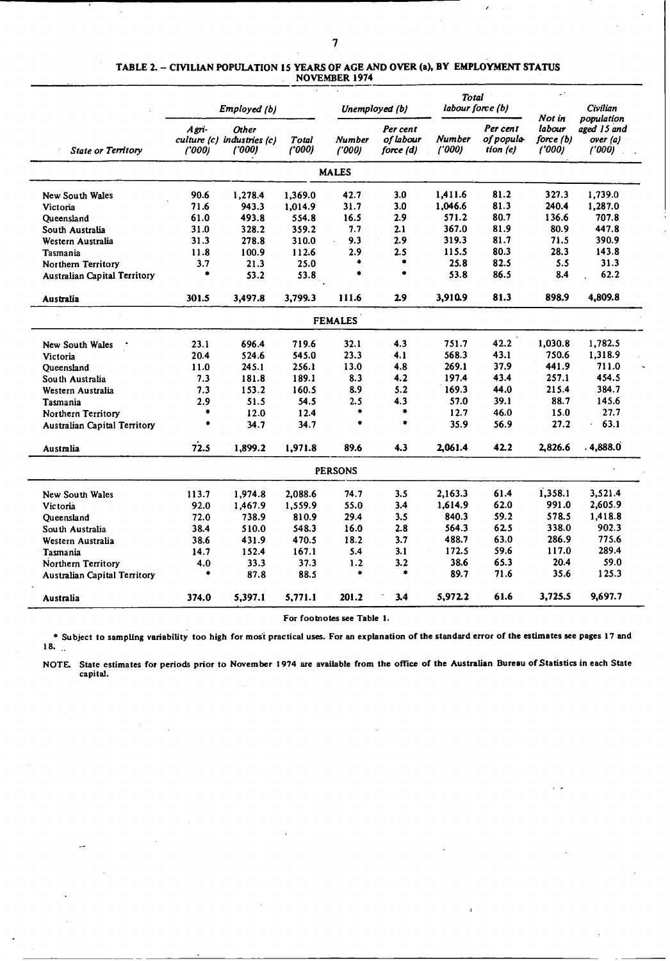|                                     | Employed (b)   |                                                      |                 | Unemployed (b)  |                                    | <b>Total</b><br>labour force (b) |                                    | $\mathbb{Z}^{(n)}$<br>Not in | Civilian                                       |
|-------------------------------------|----------------|------------------------------------------------------|-----------------|-----------------|------------------------------------|----------------------------------|------------------------------------|------------------------------|------------------------------------------------|
| <b>State or Territory</b>           | Agri-<br>(000) | <b>Other</b><br>culture (c) industries (c)<br>('000) | Total<br>('000) | Number<br>(000) | Per cent<br>of labour<br>force (d) | Number<br>('000)                 | Per cent<br>of popula-<br>tion (e) | labour<br>force(b)<br>(000)  | population<br>aged 15 and<br>over (a)<br>(000) |
|                                     |                |                                                      |                 | <b>MALES</b>    |                                    |                                  |                                    |                              |                                                |
| <b>New South Wales</b>              | 90.6           | 1,278.4                                              | 1,369.0         | 42.7            | 3.0                                | 1,411.6                          | 81.2                               | 327.3                        | 1,739.0                                        |
| Victoria                            | 71.6           | 943.3                                                | 1,014.9         | 31.7            | 3.0                                | 1,046.6                          | 81.3                               | 240.4                        | 1,287.0                                        |
| Oueensland                          | 61.0           | 493.8                                                | 554.8           | 16.5            | 2.9                                | 571.2                            | 80.7                               | 136.6                        | 707.8                                          |
| South Australia                     | 31.0           | 328.2                                                | 359.2           | 7.7             | 2.1                                | 367.0                            | 81.9                               | 80.9                         | 447.8                                          |
| Western Australia                   | 31.3           | 278.8                                                | 310.0           | 9.3             | 2.9                                | 319.3                            | 81.7                               | 71.5                         | 390.9                                          |
| Tasmania                            | 11.8           | 100.9                                                | 112.6           | 2.9             | 2.5                                | 115.5                            | 80.3                               | 28.3                         | 143.8                                          |
| Northern Territory                  | 3.7            | 21.3                                                 | 25.0            | ۰               | ۰                                  | 25.8                             | 82.5                               | 5.5                          | 31.3                                           |
| <b>Australian Capital Territory</b> | ۰              | 53.2                                                 | 53.8            | ۰               | ۰                                  | 53.8                             | 86.5                               | 8.4                          | 62.2                                           |
| Australia                           | 301.5          | 3,497.8                                              | 3,799.3         | 111.6           | 2.9                                | 3,910.9                          | 81.3                               | 898.9                        | 4,809.8                                        |
|                                     |                |                                                      |                 | <b>FEMALES</b>  |                                    |                                  |                                    |                              |                                                |
|                                     | 23.1           | 696.4                                                | 719.6           | 32.1            | 4.3                                | 751.7                            | 42.2                               | 1,030.8                      | 1,782.5                                        |
| <b>New South Wales</b>              | 20.4           | 524.6                                                | 545.0           | 23.3            | 4.1                                | 568.3                            | 43.1                               | 750.6                        | 1,318.9                                        |
| Victoria                            |                | 245.1                                                | 256.1           | 13.0            | 4.8                                | 269.1                            | 37.9                               | 441.9                        | 711.0                                          |
| Queensland                          | 11.0           |                                                      | 189.1           | 8.3             | 4.2                                | 197.4                            | 43.4                               | 257.1                        | 454.5                                          |
| South Australia                     | 7.3            | 181.8                                                |                 |                 | 5.2                                | 169.3                            | 44.0                               | 215.4                        | 384.7                                          |
| Western Australia                   | 7.3            | 153.2                                                | 160.5           | 8.9             |                                    |                                  |                                    |                              | 145.6                                          |
| Tasmania                            | 2.9<br>۰       | 51.5                                                 | 54.5            | 2.5<br>۰        | 4.3<br>۰                           | 57.0                             | 39.1                               | 88.7                         |                                                |
| Northern Territory                  |                | 12.0                                                 | 12.4            |                 | ۰                                  | 12.7                             | 46.0                               | 15.0                         | 27.7                                           |
| <b>Australian Capital Territory</b> | ٠              | 34.7                                                 | 34.7            | ۰               |                                    | 35.9                             | 56.9                               | 27.2                         | 63.1                                           |
| Australia                           | 72.5           | 1,899.2                                              | 1,971.8         | 89.6            | 4.3                                | 2.061.4                          | 42.2                               | 2,826.6                      | . 4,888.0                                      |
|                                     |                |                                                      |                 | <b>PERSONS</b>  |                                    |                                  |                                    |                              |                                                |
| New South Wales                     | 113.7          | 1,974.8                                              | 2.088.6         | 74.7            | 3.5                                | 2.163.3                          | 61.4                               | 1,358.1                      | 3.521.4                                        |
| Victoria                            | 92.0           | 1,467.9                                              | 1,559.9         | 55.0            | 3.4                                | 1,614.9                          | 62.0                               | 991.0                        | 2,605.9                                        |
| Queensland                          | 72.0           | 738.9                                                | 810.9           | 29.4            | 3.5                                | 840.3                            | 59.2                               | 578.5                        | 1,418.8                                        |
| South Australia                     | 38.4           | 510.0                                                | 548.3           | 16.0            | 2.8                                | 564.3                            | 62.5                               | 338.0                        | 902.3                                          |
| Western Australia                   | 38.6           | 431.9                                                | 470.5           | 18.2            | 3.7                                | 488.7                            | 63.0                               | 286.9                        | 775.6                                          |
| Tasmania                            | 14.7           | 152.4                                                | 167.1           | 5.4             | 3.1                                | 172.5                            | 59.6                               | 117.0                        | 289.4                                          |
| Northern Territory                  | 4.0            | 33.3                                                 | 37.3            | 1.2             | 3.2                                | 38.6                             | 65.3                               | 20.4                         | 59.0                                           |
| <b>Australian Capital Territory</b> | ۰              | 87.8                                                 | 88.5            | ۰               | ۰                                  | 89.7                             | 71.6                               | 35.6                         | 125.3                                          |
| Australia                           | 374.0          | 5,397.1                                              | 5,771.1         | 201.2           | 3.4                                | 5.972.2                          | 61.6                               | 3,725.5                      | 9,697.7                                        |

#### TABLE 2. - CIVILIAN POPULATION 15 YEARS OF AGE AND OVER (a), BY EMPLOYMENT STATUS NOVEMBER 1974

For footnotes see Table 1.

\* Subject to sampling variability too high for most practical uses. For an explanation of the standard error of the estimates see pages 17 and **18.**

NOTE. State estimates for periods prior to November 1974 are available from the office of the Australian Bureau of Statistics in each State capital.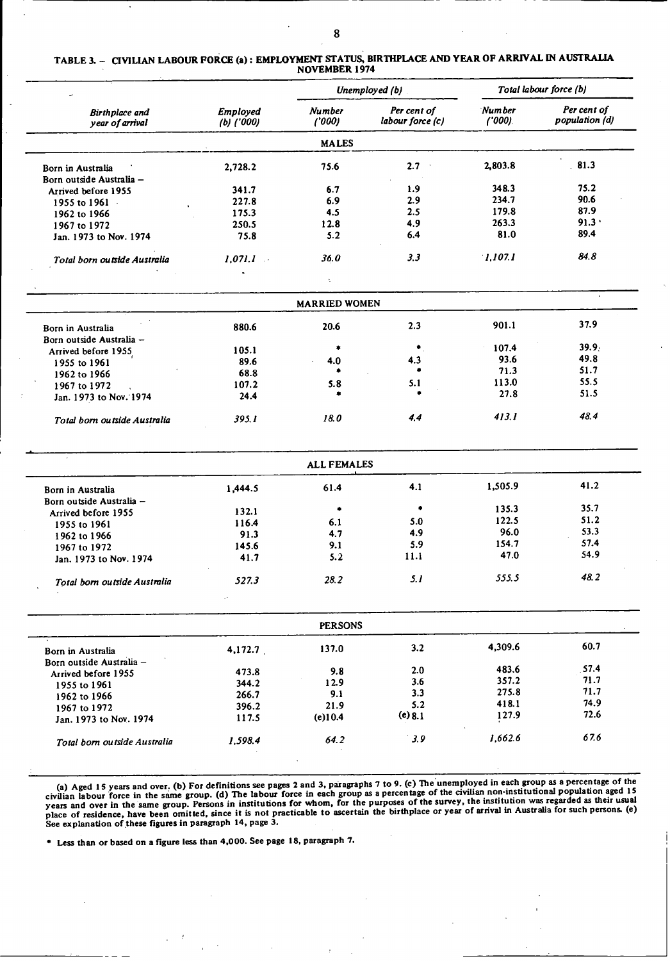TABLE 3. - CIVILIAN LABOUR **FORCE** (a): EMPLOYMENT STATUS, **BIRTHPLACE AND** YEAR OF ARRIVAL **IN** AUSTRALIA NOVEMBER 1974

| ۰                                 |                                                                  |              | Unemployed (b)   | Total labour force (b)      |                               |
|-----------------------------------|------------------------------------------------------------------|--------------|------------------|-----------------------------|-------------------------------|
| Birthplace and<br>year of arrival | Per cent of<br><b>Number</b><br>Employed<br>('000)<br>(b) ('000) |              | labour force (c) | <b>Number</b><br>$(1000)$ . | Per cent of<br>population (d) |
|                                   |                                                                  | <b>MALES</b> |                  |                             |                               |
| Born in Australia                 | 2,728.2                                                          | 75.6         | 2.7<br>$\sim$    | 2,803.8                     | 81.3                          |
| Born outside Australia -          |                                                                  |              |                  |                             |                               |
| Arrived before 1955               | 341.7                                                            | 6.7          | 1.9              | 348.3                       | 75.2                          |
| 1955 to 1961                      | 227.8                                                            | 6.9          | 2.9              | 234.7                       | 90.6                          |
| 1962 to 1966                      | 175.3                                                            | 4.5          | 2.5              | 179.8                       | 87.9                          |
| 1967 to 1972                      | 250.5                                                            | 12.8         | 4.9              | 263.3                       | 91.3                          |
| Jan. 1973 to Nov. 1974            | 75.8                                                             | 5.2          | 6.4              | 81.0                        | 89.4                          |
| Total born outside Australia      | 1.071.1                                                          | 36.0         | 3.3              | 1.107.1                     | 84.8                          |
|                                   | $\bullet$                                                        |              |                  |                             |                               |

| <b>MARRIED WOMEN</b>         |        |      |     |       |       |  |  |  |  |
|------------------------------|--------|------|-----|-------|-------|--|--|--|--|
| Born in Australia            | 880.6  | 20.6 | 2.3 | 901.1 | 37.9  |  |  |  |  |
| Born outside Australia -     |        |      |     |       |       |  |  |  |  |
| Arrived before 1955          | 105.1  |      |     | 107.4 | 39.9. |  |  |  |  |
| 1955 to 1961                 | 89.6   | 4.0  | 4.3 | 93.6  | 49.8  |  |  |  |  |
| 1962 to 1966                 | 68.8   |      | ∙   | 71.3  | 51.7  |  |  |  |  |
| 1967 to 1972                 | 107.2  | 5.8  | 5.1 | 113.0 | 55.5  |  |  |  |  |
| Jan. 1973 to Nov. 1974       | 24.4   |      | ٠   | 27.8  | 51.5  |  |  |  |  |
| Total born outside Australia | 395. I | 18.0 | 4.4 | 413.I | 48.4  |  |  |  |  |

| <b>ALL FEMALES</b> |       |      |         |       |  |  |  |  |  |  |
|--------------------|-------|------|---------|-------|--|--|--|--|--|--|
| 1.444.5            | 61.4  | 4.1  | 1,505.9 | 41.2  |  |  |  |  |  |  |
|                    |       |      |         |       |  |  |  |  |  |  |
| 132.1              | ۰     |      |         | 35.7  |  |  |  |  |  |  |
| 116.4              | 6.1   | 5.0  | 122.5   | 51.2  |  |  |  |  |  |  |
| 91.3               | 4.7   | 4.9  | 96.0    | 53.3  |  |  |  |  |  |  |
|                    | 9.1   | 5.9  | 154.7   | 57.4  |  |  |  |  |  |  |
| 41.7               | 5.2   | 11.1 | 47.0    | 54.9  |  |  |  |  |  |  |
| 527.3              | 28.2  | 5. I | 555.5   | 48.2  |  |  |  |  |  |  |
|                    | 145.6 |      |         | 135.3 |  |  |  |  |  |  |

|                              |         | <b>PERSONS</b> |         |         |      |
|------------------------------|---------|----------------|---------|---------|------|
| Born in Australia            | 4,172.7 | 137.0          | 3.2     | 4.309.6 | 60.7 |
| Born outside Australia -     |         |                |         |         |      |
| Arrived before 1955          | 473.8   | 9.8            | 2.0     | 483.6   | 57.4 |
| 1955 to 1961                 | 344.2   | 12.9           | 3.6     | 357.2   | 71.7 |
| 1962 to 1966                 | 266.7   | 9.1            | 3.3     | 275.8   | 71.7 |
| 1967 to 1972                 | 396.2   | 21.9           | 5.2     | 418.1   | 74.9 |
| Jan. 1973 to Nov. 1974       | 117.5   | $(e)$ 10.4     | (e) 8.1 | 127.9   | 72.6 |
| Total born outside Australia | 1.598.4 | 64.2           | 3.9     | 1,662.6 | 67.6 |

(a) Aged **15** years and over. (b) For definitions see pages **2 and 3,** paragraphs 7 to 9. (c) **The** unemployed in each group as a percentage of the civilian labour force in the same group. (d) The labour force in each group as a percentage of the civilian non-institutional population aged 15<br>years and over in the same group. Persons in institutions for whom, for the p

" Less than or based on a figure less than 4,000. See page **18,** paragraph **7.**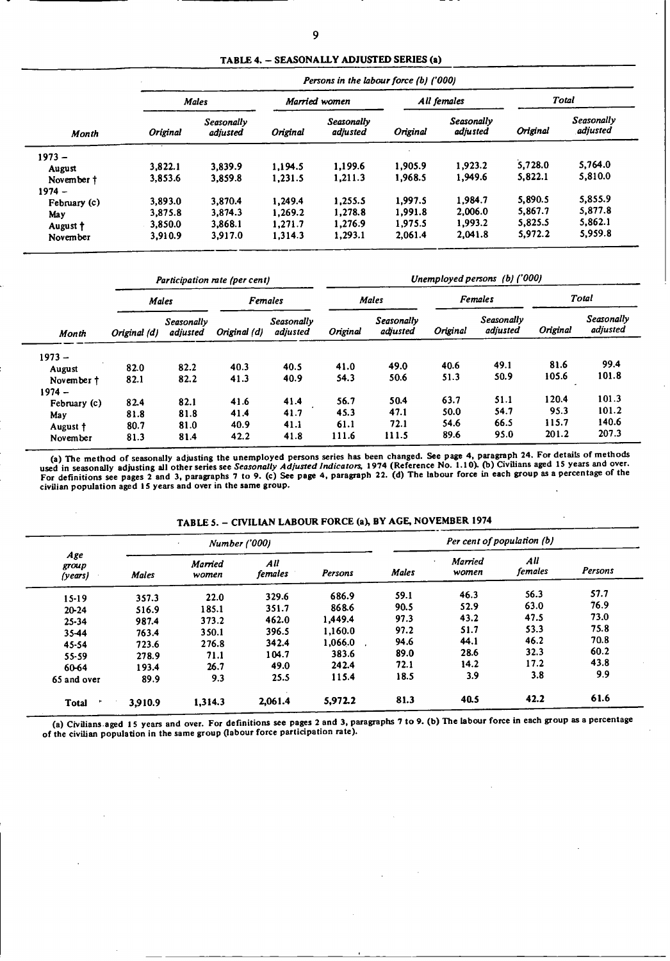TABLE 4. - SEASONALLY ADJUSTED **SERIES** (a)

|              | Persons in the labour force (b) ('000) |                        |               |                               |             |                        |          |                        |  |  |  |
|--------------|----------------------------------------|------------------------|---------------|-------------------------------|-------------|------------------------|----------|------------------------|--|--|--|
|              | <b>Males</b>                           |                        | Married women |                               | All females |                        | Total    |                        |  |  |  |
| Month        | <b>Original</b>                        | Seasonally<br>adiusted | Original      | <b>Seasonally</b><br>adjusted | Original    | Seasonally<br>adjusted | Original | Seasonally<br>adjusted |  |  |  |
| $1973 -$     |                                        |                        |               |                               |             |                        |          |                        |  |  |  |
| August       | 3.822.1                                | 3.839.9                | 1.194.5       | 1.199.6                       | 1,905.9     | 1.923.2                | 5,728.0  | 5,764.0                |  |  |  |
| November †   | 3,853.6                                | 3,859.8                | 1,231.5       | 1,211.3                       | 1,968.5     | 1.949.6                | 5,822.1  | 5,810.0                |  |  |  |
| $1974 -$     |                                        |                        |               |                               |             |                        |          |                        |  |  |  |
| February (c) | 3.893.0                                | 3,870.4                | 1.249.4       | 1,255.5                       | 1.997.5     | 1.984.7                | 5,890.5  | 5,855.9                |  |  |  |
| May          | 3.875.8                                | 3.874.3                | 1.269.2       | 1,278.8                       | 1,991.8     | 2,006.0                | 5,867.7  | 5,877.8                |  |  |  |
| August †     | 3.850.0                                | 3,868.1                | 1,271.7       | 1,276.9                       | 1.975.5     | 1.993.2                | 5,825.5  | 5,862.1                |  |  |  |
| November     | 3,910.9                                | 3,917.0                | 1.314.3       | 1,293.1                       | 2,061.4     | 2.041.8                | 5,972.2  | 5,959.8                |  |  |  |

|              |              |                        | Participation rate (per cent) |                        | Unemployed persons (b) ('000) |                        |          |                        |          |                        |  |
|--------------|--------------|------------------------|-------------------------------|------------------------|-------------------------------|------------------------|----------|------------------------|----------|------------------------|--|
|              | Males        |                        | <b>Females</b>                |                        |                               | <b>Males</b>           |          | <b>Females</b>         | Total    |                        |  |
| Month        | Original (d) | Seasonally<br>adiusted | Original (d)                  | Seasonally<br>adjusted | Original                      | Seasonally<br>adjusted | Original | Seasonally<br>adjusted | Original | Seasonally<br>adjusted |  |
| $1973 -$     |              |                        |                               |                        |                               |                        |          |                        |          |                        |  |
| August       | 82.0         | 82.2                   | 40.3                          | 40.5                   | 41.0                          | 49.0                   | 40.6     | 49.1                   | 81.6     | 99.4                   |  |
| November t   | 82.1         | 82.2                   | 41.3                          | 40.9                   | 54.3                          | 50.6                   | 51.3     | 50.9                   | 105.6    | 101.8                  |  |
| $1974 -$     |              |                        |                               |                        |                               |                        |          |                        |          |                        |  |
| February (c) | 82.4         | 82.1                   | 41.6                          | 41.4                   | 56.7                          | 50.4                   | 63.7     | 51.1                   | 120.4    | 101.3                  |  |
| May          | 81.8         | 81.8                   | 41.4                          | 41.7                   | 45.3                          | 47.1                   | 50.0     | 54.7                   | 95.3     | 101.2                  |  |
| August †     | 80.7         | 81.0                   | 40.9                          | 41.1                   | 61.1                          | 72.1                   | 54.6     | 66.5                   | 115.7    | 140.6                  |  |
| November     | 81.3         | 81.4                   | 42.2                          | 41.8                   | 111.6                         | 111.5                  | 89.6     | 95.0                   | 201.2    | 207.3                  |  |

(a) The method of seasonally adjusting the unemployed persons series has been changed. See page **4,** paragraph 24. For details of methods used in seasonally adjusting all other series see Seasonally Adjusted Indicators, 1974 (Reference No. 1.10). (b) Civilians aged 15 years and over.<br>For definitions see pages 2 and 3, paragraphs 7 to 9. (c) See page 4, parag

TABLE 5. - CIVILIAN LABOUR FORCE (a), BY AGE, NOVEMBER 1974

|                         |              | <b>Number</b> ('000) |                |         | Per cent of population (b) |                         |                |         |  |
|-------------------------|--------------|----------------------|----------------|---------|----------------------------|-------------------------|----------------|---------|--|
| Age<br>group<br>(years) | <b>Males</b> | Married<br>women     | All<br>females | Persons | <b>Males</b>               | <b>Married</b><br>women | All<br>females | Persons |  |
| $15 - 19$               | 357.3        | 22.0                 | 329.6          | 686.9   | 59.1                       | 46.3                    | 56.3           | 57.7    |  |
| $20 - 24$               | 516.9        | 185.1                | 351.7          | 868.6   | 90.5                       | 52.9                    | 63.0           | 76.9    |  |
| $25 - 34$               | 987.4        | 373.2                | 462.0          | 1,449.4 | 97.3                       | 43.2                    | 47.5           | 73.0    |  |
| 35-44                   | 763.4        | 350.1                | 396.5          | 1,160.0 | 97.2                       | 51.7                    | 53.3           | 75.8    |  |
| 45-54                   | 723.6        | 276.8                | 342.4          | 1.066.0 | 94.6                       | 44.1                    | 46.2           | 70.8    |  |
| $55 - 59$               | 278.9        | 71.1                 | 104.7          | 383.6   | 89.0                       | 28.6                    | 32.3           | 60.2    |  |
| 60-64                   | 193.4        | 26.7                 | 49.0           | 242.4   | 72.1                       | 14.2                    | 17.2           | 43.8    |  |
| 65 and over             | 89.9         | 9.3                  | 25.5           | 115.4   | 18.5                       | 3.9                     | 3.8            | 9.9     |  |
| <b>Total</b>            | 3,910.9      | 1.314.3              | 2.061.4        | 5,972.2 | 81.3                       | 40.5                    | 42.2           | 61.6    |  |

(a) Civilians aged 15 years and over. For definitions see pages 2 and 3, paragraphs 7 to 9. (b) The labour force in each group as a percentage<br>of the civilian population in the same group (labour force participation rate).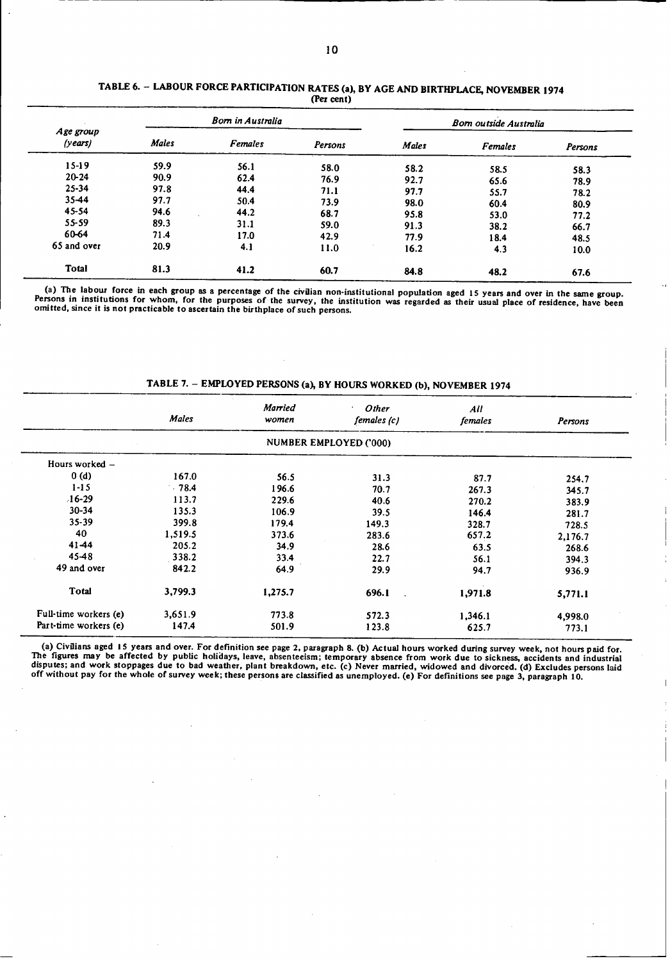| Age group<br>(years) |              | <b>Born in Australia</b> |         | <b>Bom outside Australia</b> |                |         |  |
|----------------------|--------------|--------------------------|---------|------------------------------|----------------|---------|--|
|                      | <b>Males</b> | <b>Females</b>           | Persons | <b>Males</b>                 | <b>Females</b> | Persons |  |
| $15-19$              | 59.9         | 56.1                     | 58.0    | 58.2                         | 58.5           | 58.3    |  |
| $20 - 24$            | 90.9         | 62.4                     | 76.9    | 92.7                         | 65.6           | 78.9    |  |
| $25 - 34$            | 97.8         | 44.4                     | 71.1    | 97.7                         | 55.7           | 78.2    |  |
| $35 - 44$            | 97.7         | 50.4                     | 73.9    | 98.0                         | 60.4           | 80.9    |  |
| 45-54                | 94.6         | 44.2                     | 68.7    | 95.8                         | 53.0           | 77.2    |  |
| $55 - 59$            | 89.3         | 31.1                     | 59.0    | 91.3                         | 38.2           | 66.7    |  |
| 60-64                | 71.4         | 17.0                     | 42.9    | 77.9                         | 18.4           | 48.5    |  |
| 65 and over          | 20.9         | 4.1                      | 11.0    | 16.2                         | 4.3            | 10.0    |  |
| <b>Total</b>         | 81.3         | 41.2                     | 60.7    | 84.8                         | 48.2           | 67.6    |  |

### **TABLE 6.** - **LABOUR FORCE PARTICIPATION RATES (a), BY AGE AND BIRTHPLACE, NOVEMBER 1974** (Per **cent)**

(a) The labour force in each group as a percentage of the civilian non-institutional population aged 15 years and over in the same group.<br>Persons in institutions for whom, for the purposes of the survey, the institution wa

TABLE 7. - EMPLOYED **PERSONS (a), BY HOURS** WORKED **(b), NOVEMBER 1974**

|                       | <b>Males</b> | <b>Married</b><br>women | Other<br>٠<br>females (c) | All<br>females | Persons |
|-----------------------|--------------|-------------------------|---------------------------|----------------|---------|
|                       |              |                         | NUMBER EMPLOYED ('000)    |                |         |
| Hours worked -        |              |                         |                           |                |         |
| 0(d)                  | 167.0        | 56.5                    | 31.3                      | 87.7           | 254.7   |
| $1 - 15$              | $-78.4$      | 196.6                   | 70.7                      | 267.3          | 345.7   |
| $16-29$               | 113.7        | 229.6                   | 40.6                      | 270.2          | 383.9   |
| 30-34                 | 135.3        | 106.9                   | 39.5                      | 146.4          | 281.7   |
| $35 - 39$             | 399.8        | 179.4                   | 149.3                     | 328.7          | 728.5   |
| 40                    | 1,519.5      | 373.6                   | 283.6                     | 657.2          | 2,176.7 |
| 41-44                 | 205.2        | 34.9                    | 28.6                      | 63.5           | 268.6   |
| 45-48                 | 338.2        | 33.4                    | 22.7                      | 56.1           | 394.3   |
| 49 and over           | 842.2        | 64.9                    | 29.9                      | 94.7           | 936.9   |
| Total                 | 3,799.3      | 1,275.7                 | 696.1                     | 1,971.8        | 5,771.1 |
| Full-time workers (e) | 3,651.9      | 773.8                   | 572.3                     | 1,346.1        | 4,998.0 |
| Part-time workers (e) | 147.4        | 501.9                   | 123.8                     | 625.7          | 773.1   |

(a) Civilians aged 15 years and over. For definition see page 2, paragraph 8. (b) Actual hours worked during survey week, not hours paid for.<br>The figures may be affected by public holidays, leave, absenteeism; temporary ab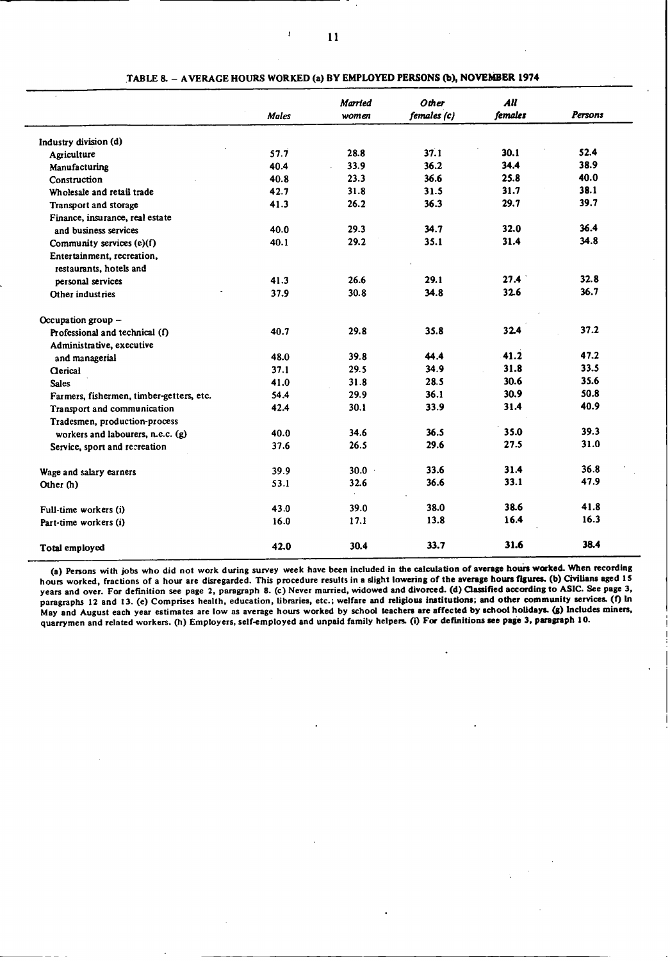|                                                       | <b>Males</b> | Married<br>women | <b>Other</b><br>females (c) | All<br>females | Persons |
|-------------------------------------------------------|--------------|------------------|-----------------------------|----------------|---------|
| Industry division (d)                                 |              |                  |                             |                |         |
| Agriculture                                           | 57.7         | 28.8             | 37.1                        | 30.1           | 52.4    |
| Manufacturing                                         | 40.4         | 33.9             | 36.2                        | 34.4           | 38.9    |
| Construction                                          | 40.8         | 23.3             | 36.6                        | 25.8           | 40.0    |
| Wholesale and retail trade                            | 42.7         | 31.8             | 31.5                        | 31.7           | 38.1    |
| Transport and storage                                 | 41.3         | 26.2             | 36.3                        | 29.7           | 39.7    |
| Finance, insurance, real estate                       |              |                  |                             |                |         |
| and business services                                 | 40.0         | 29.3             | 34.7                        | 32.0           | 36.4    |
| Community services (e)(f)                             | 40.1         | 29.2             | 35.1                        | 31.4           | 34.8    |
| Entertainment, recreation,<br>restaurants, hotels and |              |                  |                             |                |         |
| personal services                                     | 41.3         | 26.6             | 29.1                        | 27.4           | 32.8    |
| Other industries                                      | 37.9         | 30.8             | 34.8                        | 32.6           | 36.7    |
| Occupation group -                                    |              |                  |                             |                |         |
| Professional and technical (f)                        | 40.7         | 29.8             | 35.8                        | 32.4           | 37.2    |
| Administrative, executive                             |              |                  |                             |                |         |
| and managerial                                        | 48.0         | 39.8             | 44.4                        | 41.2           | 47.2    |
| <b>Clerical</b>                                       | 37.1         | 29.5             | 34.9                        | 31.8           | 33.5    |
| <b>Sales</b>                                          | 41.0         | 31.8             | 28.5                        | 30.6           | 35.6    |
| Farmers, fishermen, timber-getters, etc.              | 54.4         | 29.9             | 36.1                        | 30.9           | 50.8    |
| Transport and communication                           | 42.4         | 30.1             | 33.9                        | 31.4           | 40.9    |
| Tradesmen, production-process                         |              |                  |                             |                |         |
| workers and labourers, n.e.c. (g)                     | 40.0         | 34.6             | 36.5                        | 35.0           | 39.3    |
| Service, sport and recreation                         | 37.6         | 26.5             | 29.6                        | 27.5           | 31.0    |
| Wage and salary earners                               | 39.9         | $30.0 -$         | 33.6                        | 31.4           | 36.8    |
| Other (h)                                             | 53.1         | 32.6             | 36.6                        | 33.1           | 47.9    |
| Full-time workers (i)                                 | 43.0         | 39.0             | 38.0                        | 38.6           | 41.8    |
| Part-time workers (i)                                 | 16.0         | 17.1             | 13.8                        | 16.4           | 16.3    |
| <b>Total employed</b>                                 | 42.0         | 30.4             | 33.7                        | 31.6           | 38.4    |

**TABLE 8.** - **AVERAGE HOURS WORKED (a) BY EMPLOYED PERSONS (b), NOVEMBER 1974**

**(a) Persons with jobs who did not work during survey week have been included in the calculation of average hours worked. When recording hours worked, fractions of a hour are disregarded. This procedure results in a slight lowering of the average hours figures. (b) Civilians aged** IS **years and over. For definition see page 2, paragraph 8. (c) Never married, widowed and divorced. (d) Classified according to ASIC. See page 3, paragraphs 12 and 13. (e) Comprises health, education, libraries, etc.; welfare and religious institutions; and other community** services. **(f) In May and August each year estimates are low as average hours worked by school teachers are affected by school holidays. (g) Includes miners, quarrymen and related workers. (h) Employers, self-employed and unpaid family helpers. (i) For definitions** *see* **page 3, paragraph 10.**

 $\mathbf{r}$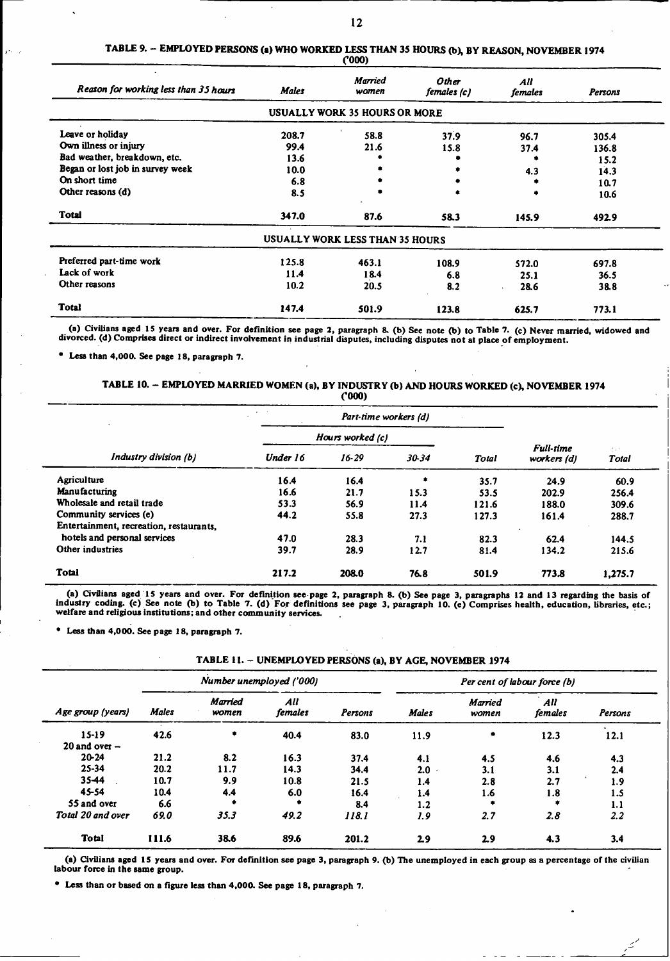| Reason for working less than 35 hours | <b>Males</b> | <b>Married</b><br>women         | Other<br>females (c) | All<br>females | Persons |
|---------------------------------------|--------------|---------------------------------|----------------------|----------------|---------|
|                                       |              | USUALLY WORK 35 HOURS OR MORE   |                      |                |         |
| Leave or holiday                      | 208.7        | 58.8                            | 37.9                 | 96.7           | 305.4   |
| Own illness or injury                 | 99.4         | 21.6                            | 15.8                 | 37.4           | 136.8   |
| Bad weather, breakdown, etc.          | 13.6         |                                 |                      |                | 15.2    |
| Began or lost job in survey week      | 10.0         |                                 |                      | 4.3            | 14.3    |
| On short time                         | 6.8          |                                 |                      |                | 10.7    |
| Other reasons (d)                     | 8.5          |                                 |                      |                | 10.6    |
| <b>Total</b>                          | 347.0        | 87.6                            | 58.3                 | 145.9          | 492.9   |
|                                       |              | USUALLY WORK LESS THAN 35 HOURS |                      |                |         |
| Preferred part-time work              | 125.8        | 463.1                           | 108.9                | 572.0          | 697.8   |
| Lack of work                          | 11.4         | 18.4                            | 6.8                  | 25.1           | 36.5    |
| Other reasons                         | 10.2         | 20.5                            | 8.2                  | 28.6           | 38.8    |
| <b>Total</b>                          | 147.4        | 501.9                           | 123.8                | 625.7          | 773.1   |

# **TABLE 9.** - **EMPLOYED PERSONS** (a) **WHO WORKED LESS** THAN **35 HOURS (b), BY REASON, NOVEMBER 1974**

*('000)*

(a) Civilians aged 15 years and over. For definition see page 2, paragraph 8. (b) See note (b) to Table 7. (c) Never married, widowed and divorced. (d) Comprises direct or indirect involvement in industrial disputes, inclu

**"** Less than 4,000. See page 18, paragraph **7.**

### TABLE 10. - EMPLOYED MARRIED WOMEN (a), BY INDUSTRY (b) AND HOURS WORKED **(c),** NOVEMBER 1974 oo)

|                                         |                  | Part-time workers (d) |       |              |                                 |              |
|-----------------------------------------|------------------|-----------------------|-------|--------------|---------------------------------|--------------|
|                                         | Hours worked (c) |                       |       |              |                                 |              |
| Industry division (b)                   | Under 16         | $16 - 29$             | 30-34 | <b>Total</b> | <b>Full-time</b><br>workers (d) | 74T<br>Total |
| Agriculture                             | 16.4             | 16.4                  | ۰     | 35.7         | 24.9                            | 60.9         |
| <b>Manufacturing</b>                    | 16.6             | 21.7                  | 15.3  | 53.5         | 202.9                           | 256.4        |
| Wholesale and retail trade              | 53.3             | 56.9                  | 11.4  | 121.6        | 188.0                           | 309.6        |
| Community services (e)                  | 44.2             | 55.8                  | 27.3  | 127.3        | 161.4                           | 288.7        |
| Entertainment, recreation, restaurants. |                  |                       |       |              |                                 |              |
| hotels and personal services            | 47.0             | 28.3                  | 7.1   | 82.3         | 62.4                            | 144.5        |
| Other industries                        | 39.7             | 28.9                  | 12.7  | 81.4         | 134.2                           | 215.6        |
| <b>Total</b>                            | 217.2            | 208.0                 | 76.8  | 501.9        | 773.8                           | 1,275.7      |

(a) Civilians aged 15 years and over. For definition see page 2, paragraph 8. (b) See page 3, paragraphs 12 and 13 regarding the basis of industry coding. (c) See note (b) to Table 7. (d) For definitions see page 3, paragr

**"** Less than 4,000. See page **18,** paragraph **7.**

| TABLE 11. - UNEMPLOYED PERSONS (a), BY AGE, NOVEMBER 1974 |
|-----------------------------------------------------------|
|-----------------------------------------------------------|

|                   |              |                         | Number unemployed ('000) |         | Per cent of labour force (b) |                         |                |                   |  |
|-------------------|--------------|-------------------------|--------------------------|---------|------------------------------|-------------------------|----------------|-------------------|--|
| Age group (years) | <b>Males</b> | <b>Married</b><br>women | All<br>females           | Persons | <b>Males</b>                 | <b>Married</b><br>women | All<br>females | Persons           |  |
| $15 - 19$         | 42.6         | ۰                       | 40.4                     | 83.0    | 11.9                         | ۰                       | 12.3           | $\bullet$<br>12.1 |  |
| 20 and over $-$   |              |                         |                          |         |                              |                         |                |                   |  |
| $20 - 24$         | 21.2         | 8.2                     | 16.3                     | 37.4    | 4.1                          | 4.5                     | 4.6            | 4.3               |  |
| $25 - 34$         | 20.2         | 11.7                    | 14.3                     | 34.4    | 2.0                          | 3.1                     | 3.1            | 2.4               |  |
| 35-44             | 10.7         | 9.9                     | 10.8                     | 21.5    | 1.4                          | 2.8                     | 2.7            | 1.9               |  |
| 45-54             | 10.4         | 4.4                     | 6.0                      | 16.4    | 1.4                          | 1.6                     | 1.8            | 1.5               |  |
| 55 and over       | 6.6          |                         | ۰                        | 8.4     | 1.2                          |                         | ۰              | 1.1               |  |
| Total 20 and over | 69.0         | 35.3                    | 49.2                     | 118.1   | 1.9                          | 2.7                     | 2.8            | 2.2               |  |
| Total             | 111.6        | 38.6                    | 89.6                     | 201.2   | 2.9                          | 2.9                     | 4.3            | 3.4               |  |

(a) Civilians aged IS years and over. **For** definition see page **3,** paragraph 9. (b) The unemployed in each group **as** a percentage of the civilian labour force in the **same** group.

**\* Less** than or based on a figure **less** than 4,000. See page 18, paragraph 7.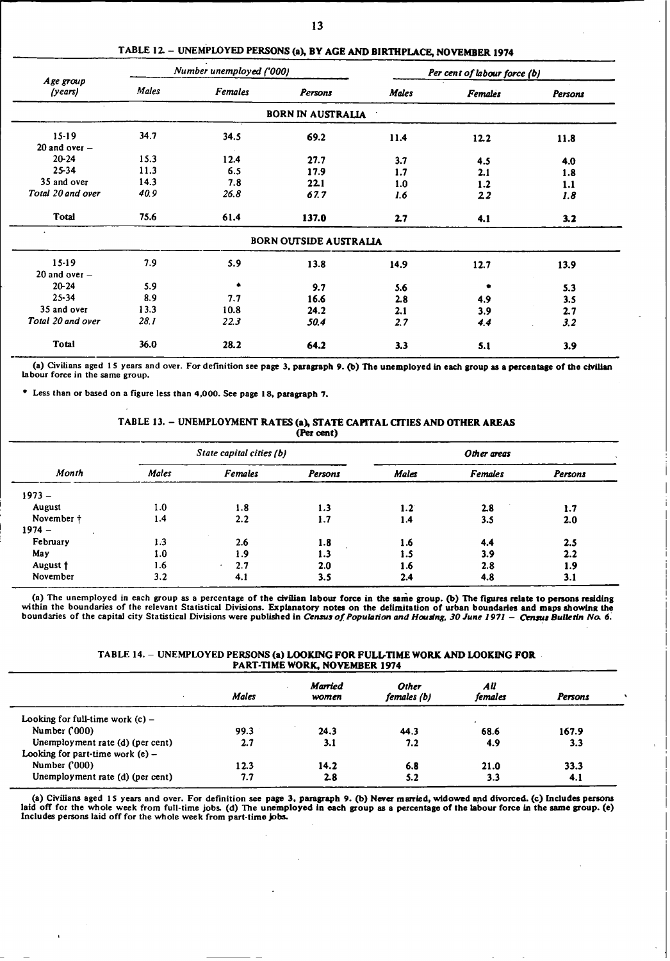|                      |       | Number unemployed ('000) |                               |              | Per cent of labour force (b) |         |
|----------------------|-------|--------------------------|-------------------------------|--------------|------------------------------|---------|
| Age group<br>(years) | Males | <b>Females</b>           | Persons                       | <b>Males</b> | <b>Females</b>               | Persons |
|                      |       |                          | <b>BORN IN AUSTRALIA</b>      |              |                              |         |
| $15 - 19$            | 34.7  | 34.5                     | 69.2                          | 11.4         | 12.2                         | 11.8    |
| 20 and over $-$      |       |                          |                               |              |                              |         |
| $20 - 24$            | 15.3  | 12.4                     | 27.7                          | 3.7          | 4.5                          | 4.0     |
| 25-34                | 11.3  | 6.5                      | 17.9                          | 1.7          | 2.1                          | 1.8     |
| 35 and over          | 14.3  | 7.8                      | 22.1                          | 1.0          | 1.2                          | 1.1     |
| Total 20 and over    | 40.9  | 26.8                     | 67.7                          | 1.6          | 22                           | 1.8     |
| Total                | 75.6  | 61.4                     | 137.0                         | 2.7          | 4.1                          | 3.2     |
|                      |       |                          | <b>BORN OUTSIDE AUSTRALIA</b> |              |                              |         |
| $15 - 19$            | 7.9   | 5.9                      | 13.8                          | 14.9         | 12.7                         | 13.9    |
| 20 and over $-$      |       |                          |                               |              |                              |         |
| $20 - 24$            | 5.9   | $\bullet$                | 9.7                           | 5.6          |                              | 5.3     |
| $25 - 34$            | 8.9   | 7.7                      | 16.6                          | 2.8          | 4.9                          | 3.5     |
| 35 and over          | 13.3  | 10.8                     | 24.2                          | 2.1          | 3.9                          | 2.7     |
| Total 20 and over    | 28.1  | 22.3                     | 50.4                          | 2.7          | 4.4                          | 3.2     |
| Total                | 36.0  | 28.2                     | 64.2                          | 3.3          | 5.1                          | 3.9     |

TABLE 12. - UNEMPLOYED PERSONS **(a), BY** AGE AND BIRTHPLACE, NOVEMBER 1974

(a) Civilians aged 15 years and over. For definition see **page 3,** paragraph 9. **(b) The** unemployed In each group aa a percentage of the **civilian** labour force in the same group.

Less than or based on a figure less than 4,000. See page 18, paragraph **7.**

### TABLE 13. - UNEMPLOYMENT RATES **(a)** STATE CAPITAL CITIES AND **OTHER** AREAS **(Per cent)**

|            |       | State capital cities (b) |         |              | Other areas    |         |
|------------|-------|--------------------------|---------|--------------|----------------|---------|
| Month      | Males | <b>Females</b>           | Persons | <b>Males</b> | <b>Females</b> | Persons |
| $1973 -$   |       |                          |         |              |                |         |
| August     | 1.0   | 1.8                      | 1.3     | 1.2          | 2.8            | 1.7     |
| November † | 1.4   | 2.2                      | 1.7     | 1.4          | 3.5            | 2.0     |
| $1974 -$   |       |                          |         |              |                |         |
| February   | 1.3   | 2.6                      | 1.8     | 1.6          | 4.4            | 2.5     |
| May        | 1.0   | 1.9                      | 1.3     | 1.5          | 3.9            | 2.2     |
| August +   | 1.6   | 2.7                      | 2.0     | 1.6          | 2.8            | 1.9     |
| November   | 3.2   | 4.1                      | 3.5     | 2.4          | 4.8            | 3.1     |

(a) The unemployed in each group as a percentage of the civilian labour force in the same group. (b) The figures relate to persons residing within the boundaries of the relevant Statistical Divisions. Explanatory notes on boundaries of the capital city Statistical Divisions were published in Census *of Population and Houing, 30 June 1971* - *Census BulLetin No. 6.*

#### TABLE 14. - UNEMPLOYED PERSONS (a) LOOKING **FOR** FULL-TIME WORK AND LOOKING **FOR** PART-TIME WORK, NOVEMBER 1974

|                                    | <b>Males</b> | Married<br>women | Other<br>females (b) | All<br>females | Persons |  |
|------------------------------------|--------------|------------------|----------------------|----------------|---------|--|
| Looking for full-time work $(c)$ – |              |                  |                      |                |         |  |
| Number ('000)                      | 99.3         | 24.3             | 44.3                 | 68.6           | 167.9   |  |
| Unemployment rate (d) (per cent)   | 2.7          | 3.1              | 7.2                  | 4.9            | 3.3     |  |
| Looking for part-time work $(e)$ – |              |                  |                      |                |         |  |
| Number ('000)                      | 12.3         | 14.2             | 6.8                  | 21.0           | 33.3    |  |
| Unemployment rate (d) (per cent)   | 7.7          | 2.8              | 5.2                  | 3.3            | 4.1     |  |

(a) Civilians aged 15 years and over. For definition see page 3, paragraph 9. (b) Never married, widowed and divorced. (c) Includes persons laid off for the whole week from full-time jobs. (d) The unemployed in each group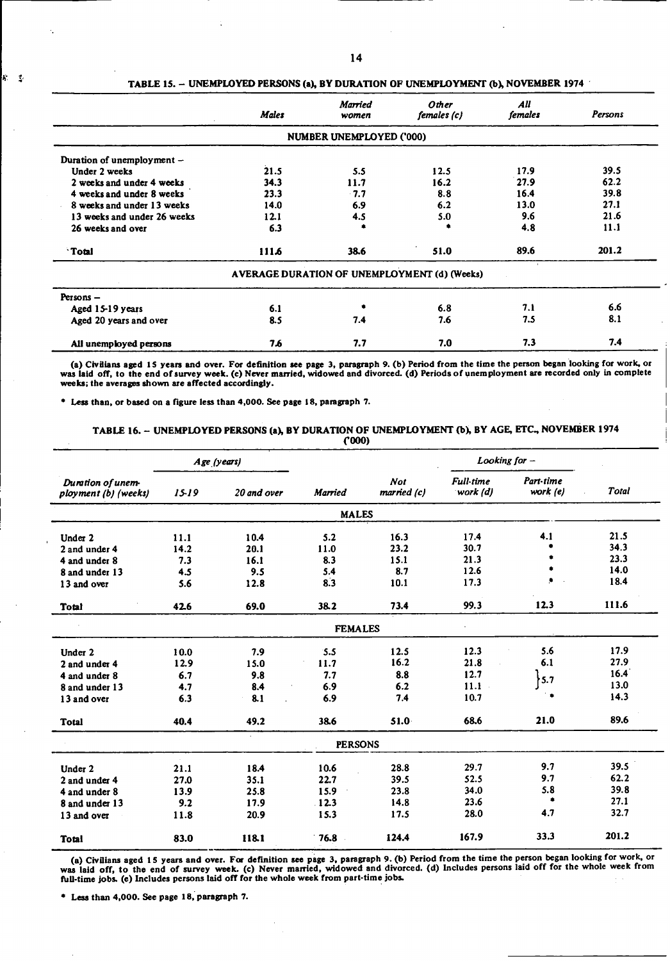|                             | <b>Males</b> | <b>Married</b><br>women  | <b>Other</b><br>females (c)                  | All<br>females | Persons |
|-----------------------------|--------------|--------------------------|----------------------------------------------|----------------|---------|
|                             |              | NUMBER UNEMPLOYED ('000) |                                              |                |         |
| Duration of unemployment -  |              |                          |                                              |                |         |
| Under 2 weeks               | 21.5         | 5.5                      | 12.5                                         | 17.9           | 39.5    |
| 2 weeks and under 4 weeks   | 34.3         | 11.7                     | 16.2                                         | 27.9           | 62.2    |
| 4 weeks and under 8 weeks   | 23.3         | $-7.7$                   | 8.8                                          | 16.4           | 39.8    |
| 8 weeks and under 13 weeks  | 14.0         | 6.9                      | 6.2                                          | 13.0           | 27.1    |
| 13 weeks and under 26 weeks | 12.1         | 4.5                      | 5.0                                          | 9.6            | 21.6    |
| 26 weeks and over           | 6.3          |                          |                                              | 4.8            | 11.1    |
| <b>Total</b>                | 1116         | 38.6                     | 51.0                                         | 89.6           | 201.2   |
|                             |              |                          | AVERAGE DURATION OF UNEMPLOYMENT (d) (Weeks) |                |         |
| Persons -                   |              |                          |                                              |                |         |
| Aged 15-19 years            | 6.1          | ٠                        | 6.8                                          | 7.1            | 6.6     |
| Aged 20 years and over      | 8.5          | 7.4                      | 7.6                                          | 7.5            | 8.1     |
| All unemployed persons      | 7.6          | 7.7                      | 7.0                                          | 7.3            | 7.4     |

## TABLE 15. - UNEMPLOYED PERSONS **(a),** BY DURATION **OF** UNEMPLOYMENT **(b),** NOVEMBER 1974

(a) Civilians aged 15 years and over. For definition see page 3, paragraph 9. (b) Period from the time the person began looking for work, or was laid off, to the end of survey week. (c) Never married, widowed and divorced. weeks; the averages shown are affected accordingly.

**"** Less than, or based on a figure less than 4,000. See page 18, paragraph 7.

松草

### TABLE 16. - UNEMPLOYED PERSONS **(a),** BY DURATION OF UNEMPLOYMENT (b), BY AGE, **ETC.,** NOVEMBER 1974 Cooo)

|                                           |      | Age (years) |                |                           | Looking for $-$              |                       |              |
|-------------------------------------------|------|-------------|----------------|---------------------------|------------------------------|-----------------------|--------------|
| Duration of unem-<br>ployment (b) (weeks) | 1519 | 20 and over | <b>Married</b> | <b>Not</b><br>married (c) | <b>Full-time</b><br>work (d) | Part-time<br>work (e) | <b>Total</b> |
|                                           |      |             | <b>MALES</b>   |                           |                              |                       |              |
| Under 2                                   | 11.1 | 10.4        | 5.2            | 16.3                      | 17.4                         | 4.1                   | 21.5         |
| 2 and under 4                             | 14.2 | 20.1        | 11.0           | 23.2                      | 30.7                         |                       | 34.3         |
| 4 and under 8                             | 7.3  | 16.1        | 8.3            | 15.1                      | 21.3                         |                       | 23.3         |
| 8 and under 13                            | 4.5  | 9.5         | 5.4            | 8.7                       | 12.6                         |                       | 14.0         |
| 13 and over                               | 5.6  | 12.8        | 8.3            | 10.1                      | 17.3                         | ۰                     | 18.4         |
| Total                                     | 42.6 | 69.0        | 38.2           | 73.4                      | 99.3                         | 12.3                  | 111.6        |
|                                           |      |             | <b>FEMALES</b> |                           |                              |                       |              |
| Under 2                                   | 10.0 | 7.9         | 5.5            | 12.5                      | 12.3                         | 5.6                   | 17.9         |
| 2 and under 4                             | 12.9 | 15.0        | 11.7           | 16.2                      | 21.8                         | 6.1                   | 27.9         |
| 4 and under 8                             | 6.7  | 9.8         | 7.7            | 8.8                       | 12.7                         |                       | 16.4         |
| 8 and under 13                            | 4.7  | 8.4         | 6.9            | 6.2                       | 11.1                         | $\uparrow$ 5.7        | 13.0         |
| 13 and over                               | 6.3  | 8.1         | 6.9            | 7.4                       | 10.7                         | ۰                     | 14.3         |
| <b>Total</b>                              | 40.4 | 49.2        | 38.6           | 51.0                      | 68.6                         | 21.0                  | 89.6         |
|                                           |      | ×.          | <b>PERSONS</b> |                           |                              |                       |              |
| Under 2                                   | 21.1 | 18.4        | 10.6           | 28.8                      | 29.7                         | 9.7                   | 39.5         |
| 2 and under 4                             | 27.0 | 35.1        | 22.7           | 39.5                      | 52.5                         | 9.7                   | 62.2         |
| 4 and under 8                             | 13.9 | 25.8        | 15.9           | 23.8                      | 34.0                         | 5.8                   | 39.8         |
| 8 and under 13                            | 9.2  | 17.9        | 12.3           | 14.8                      | 23.6                         | ٠                     | 27.1         |
| 13 and over                               | 11.8 | 20.9        | 15.3           | 17.5                      | 28.0                         | 4.7                   | 32.7         |
| <b>Total</b>                              | 83.0 | 118.1       | 76.8           | 124.4                     | 167.9                        | 33.3                  | 201.2        |

(a) Civilians aged 15 years and over. For definition see page 3, paragraph 9. (b) Period from the time the person began looking for work, or<br>was laid off, to the end of survey week. (c) Never married, widowed and divorced. **fll-time** jobs. **(e)** Includes persons laid **off** for the whole week from part-time jobs.

**" Less** than 4,000. See page **18,** paragraph 7.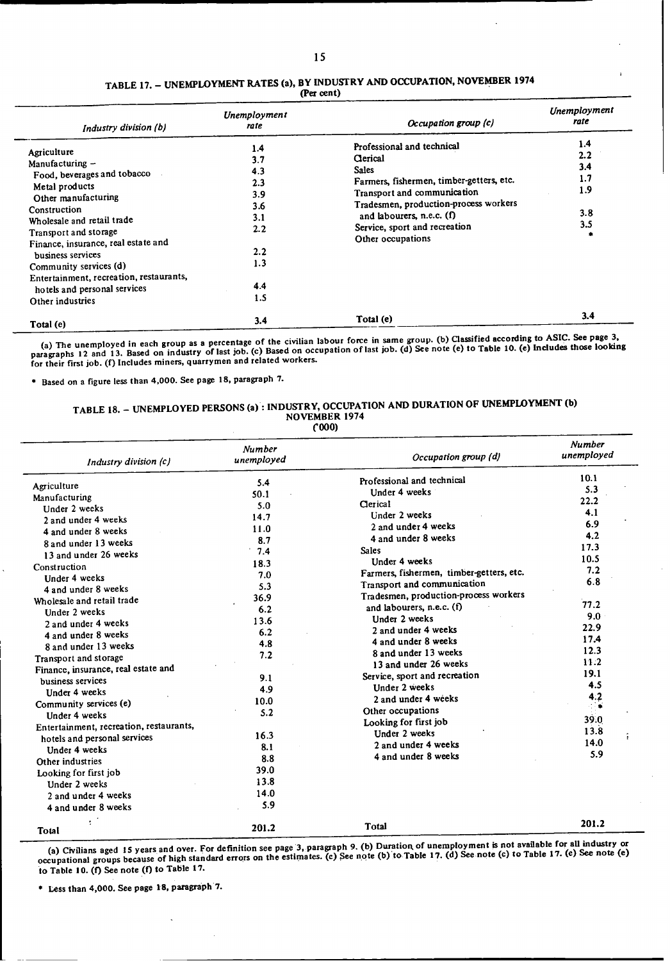### TABLE 17. - UNEMPLOYMENT RATES (a), BY INDUSTRY AND OCCUPATION, NOVEMBER 1974 (Per cent)

| Industry division (b)                                                                                                                                                                                                                                                                                                                          | Unemployment<br>rate                                                             | Occupation group (c)                                                                                                                                                                                                                                          | Unemployment<br>rate                          |
|------------------------------------------------------------------------------------------------------------------------------------------------------------------------------------------------------------------------------------------------------------------------------------------------------------------------------------------------|----------------------------------------------------------------------------------|---------------------------------------------------------------------------------------------------------------------------------------------------------------------------------------------------------------------------------------------------------------|-----------------------------------------------|
| Agriculture<br>Manufacturing -<br>Food, beverages and tobacco<br>Metal products<br>Other manufacturing<br>Construction<br>Wholesale and retail trade<br>Transport and storage<br>Finance, insurance, real estate and<br>business services<br>Community services (d)<br>Entertainment, recreation, restaurants,<br>hotels and personal services | 1.4<br>3.7<br>4.3<br>2.3<br>3.9<br>3.6<br>3.1<br>2.2<br>2.2<br>1.3<br>4.4<br>1.5 | Professional and technical<br>Clerical<br><b>Sales</b><br>Farmers, fishermen, timber-getters, etc.<br>Transport and communication<br>Tradesmen, production-process workers<br>and labourers, n.e.c. (f)<br>Service, sport and recreation<br>Other occupations | 1.4<br>2.2<br>3.4<br>1.7<br>1.9<br>3.8<br>3.5 |
| Other industries<br>Total (e)                                                                                                                                                                                                                                                                                                                  | 3.4                                                                              | Total (e)                                                                                                                                                                                                                                                     | 3.4                                           |

(a) The unemployed in each group as a percentage of the civilian labour force in same group. (b) Classified according to ASIC. See page 3,<br>paragraphs 12 and 13. Based on industry of last job. (c) Based on occupation of las

Based on a figure less than 4,000. See page 18, paragraph 7.

### TABLE **18.** - UNEMPLOYED PERSONS (a): INDUSTRY, OCCUPATION AND DURATION OP UNEMPLOYMENT (b) NOVEMBER 1974 COOO)

| Industry division (c)                   | <b>Number</b><br>unemployed | Occupation group (d)                     | <b>Number</b><br>unemployed |
|-----------------------------------------|-----------------------------|------------------------------------------|-----------------------------|
|                                         | 5.4                         | Professional and technical               | 10.1                        |
| Agriculture                             | 50.1                        | Under 4 weeks                            | 5.3                         |
| Manufacturing                           | 5.0                         | Clerical                                 | 22.2                        |
| Under 2 weeks                           | 14.7                        | Under 2 weeks                            | 4.1                         |
| 2 and under 4 weeks                     | 11.0                        | 2 and under 4 weeks                      | 6.9                         |
| 4 and under 8 weeks                     | 8.7                         | 4 and under 8 weeks                      | 4.2                         |
| 8 and under 13 weeks                    | 7.4                         | <b>Sales</b>                             | 17.3                        |
| 13 and under 26 weeks                   | 18.3                        | Under 4 weeks                            | 10.5                        |
| Construction                            | 7.0                         | Farmers, fishermen, timber-getters, etc. | 7.2                         |
| Under 4 weeks                           | 5.3                         | Transport and communication              | 6.8                         |
| 4 and under 8 weeks                     | 36.9                        | Tradesmen, production-process workers    |                             |
| Wholesale and retail trade              | 6.2                         | and labourers, n.e.c. (f)                | 77.2                        |
| Under 2 weeks                           |                             | <b>Under 2 weeks</b>                     | 9.0                         |
| 2 and under 4 weeks                     | 13.6                        | 2 and under 4 weeks                      | 22.9                        |
| 4 and under 8 weeks                     | 6.2                         | 4 and under 8 weeks                      | 17.4                        |
| 8 and under 13 weeks                    | 4.8                         | 8 and under 13 weeks                     | 12.3                        |
| Transport and storage                   | 7.2                         | 13 and under 26 weeks                    | 11.2                        |
| Finance, insurance, real estate and     |                             | Service, sport and recreation            | 19.1                        |
| business services                       | 9.1                         | Under 2 weeks                            | 4.5                         |
| Under 4 weeks                           | 4.9                         | 2 and under 4 weeks                      |                             |
| Community services (e)                  | 10.0                        |                                          | 4.2                         |
| Under 4 weeks                           | 5.2                         | Other occupations                        | 39.0                        |
| Entertainment, recreation, restaurants, |                             | Looking for first job                    | 13.8                        |
| hotels and personal services            | 16.3                        | Under 2 weeks                            | 14.0                        |
| Under 4 weeks                           | 8.1                         | 2 and under 4 weeks                      | 5.9                         |
| Other industries                        | 8.8                         | 4 and under 8 weeks                      |                             |
| Looking for first job                   | 39.0                        |                                          |                             |
| Under 2 weeks                           | 13.8                        |                                          |                             |
| 2 and under 4 weeks                     | 14.0                        |                                          |                             |
| 4 and under 8 weeks                     | 5.9                         |                                          |                             |
| Total                                   | 201.2                       | Total                                    | 201.2                       |

(a) Civilians aged 15 years and over. For definition see page 3, paragraph 9. (b) Duration of unemployment is not available for all industry or<br>(a) Civilians aged 15 years and over. For definition see page 3, paragraph 9. occupational groups because **of** high standard errors on the estimates. **(c)** See note **(b)to** Table **17. (d)** See note **(c)** to Table **17. (e)** See note (e) to Table **10. (f)** See note (f) to Table 17.

**" Less** than 4,000. See page 18, paragraph 7.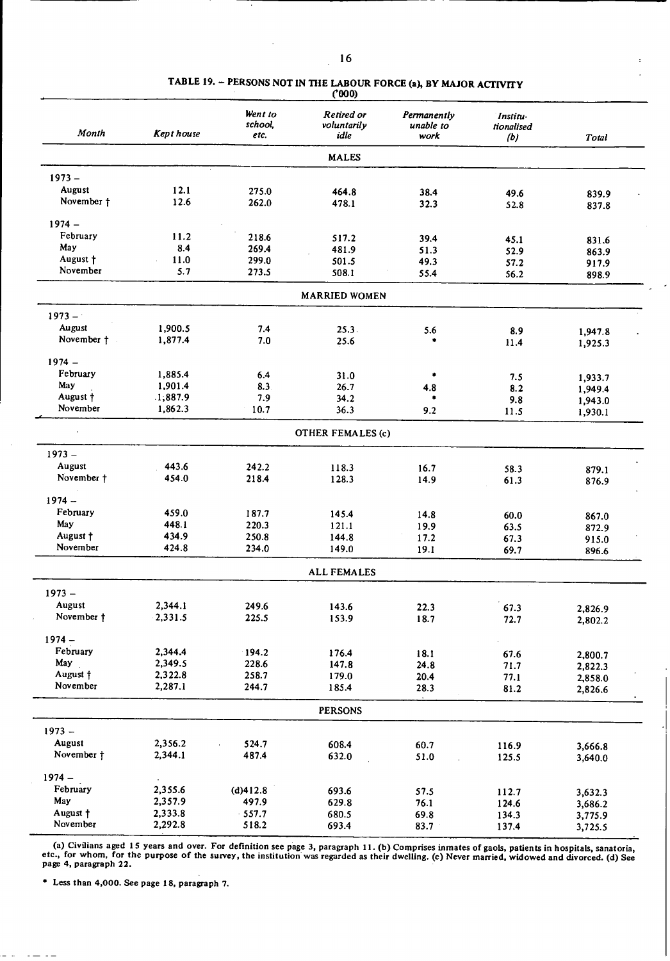#### **TABLE 19.** - **PERSONS NOT IN THE LABOUR FORCE** (a), **BY MAJOR ACTIVITY ('000)**

| Month                | Kept house     | Went to<br>school,<br>etc. | Retired or<br>voluntarily<br>idle | Permanently<br>unable to<br>work | Institu-<br>tionalised<br>(b) | Total   |
|----------------------|----------------|----------------------------|-----------------------------------|----------------------------------|-------------------------------|---------|
|                      |                |                            | <b>MALES</b>                      |                                  |                               |         |
| $1973 -$             |                |                            |                                   |                                  |                               |         |
| August               | 12.1           | 275.0                      | 464.8                             | 38.4                             | 49.6                          |         |
| November †           | 12.6           | 262.0                      | 478.1                             | 32.3                             | 52.8                          | 839.9   |
|                      |                |                            |                                   |                                  |                               | 837.8   |
| $1974 -$             |                |                            |                                   |                                  |                               |         |
| February             | 11.2           | 218.6                      | 517.2                             | 39.4                             | 45.1                          | 831.6   |
| May                  | 8.4            | 269.4                      | 481.9                             | 51.3                             | 52.9                          | 863.9   |
| August +<br>November | 11.0           | 299.0                      | 501.5                             | 49.3                             | 57.2                          | 917.9   |
|                      | 5.7            | 273.5                      | 508.1                             | 55.4                             | 56.2                          | 898.9   |
|                      |                |                            | <b>MARRIED WOMEN</b>              |                                  |                               |         |
| $1973 -$             |                |                            |                                   |                                  |                               |         |
| August               | 1,900.5        | 7.4                        | 25.3                              | 5.6                              | 8.9                           | 1,947.8 |
| November †           | 1,877.4        | 7.0                        | 25.6                              |                                  | 11.4                          | 1,925.3 |
| $1974 -$             |                |                            |                                   |                                  |                               |         |
| February             | 1,885.4        | 6.4                        | 31.0                              | ۰                                |                               |         |
| May                  | 1,901.4        | 8.3                        | 26.7                              |                                  | 7.5                           | 1,933.7 |
| August †             | .1,887.9       | 7.9                        | 34.2                              | 4.8                              | 8.2                           | 1,949.4 |
| November             | 1,862.3        | 10.7                       | 36.3                              | 9.2                              | 9.8<br>11.5                   | 1,943.0 |
|                      |                |                            |                                   |                                  |                               | 1,930.1 |
|                      |                |                            | <b>OTHER FEMALES (c)</b>          |                                  |                               |         |
| $1973 -$             |                |                            |                                   |                                  |                               |         |
| August               | 443.6          | 242.2                      | 118.3                             | 16.7                             | 58.3                          | 879.1   |
| November †           | 454.0          | 218.4                      | 128.3                             | 14.9                             | 61.3                          | 876.9   |
| $1974 -$             |                |                            |                                   |                                  |                               |         |
|                      |                |                            |                                   |                                  |                               |         |
| February             | 459.0          | 187.7                      | 145.4                             | 14.8                             | 60.0                          | 867.0   |
| May                  | 448.1          | 220.3                      | 121.1                             | 19.9                             | 63.5                          | 872.9   |
| August t<br>November | 434.9<br>424.8 | 250.8                      | 144.8                             | 17.2                             | 67.3                          | 915.0   |
|                      |                | 234.0                      | 149.0                             | 19.1                             | 69.7                          | 896.6   |
|                      |                |                            | <b>ALL FEMALES</b>                |                                  |                               |         |
| $1973 -$             |                |                            |                                   |                                  |                               |         |
| August               | 2,344.1        | 249.6                      | 143.6                             | 22.3                             | 67.3                          | 2,826.9 |
| November †           | 2,331.5        | 225.5                      | 153.9                             | 18.7                             | 72.7                          | 2,802.2 |
| $1974 -$             |                |                            |                                   |                                  |                               |         |
| February             | 2,344.4        | 194.2                      |                                   |                                  |                               |         |
| May                  | 2,349.5        | 228.6                      | 176.4                             | 18.1                             | 67.6                          | 2,800.7 |
| August †             | 2,322.8        | 258.7                      | 147.8<br>179.0                    | 24.8                             | 71.7                          | 2,822.3 |
| November             | 2,287.1        | 244.7                      | 185.4                             | 20.4<br>28.3                     | 77.1<br>81.2                  | 2,858.0 |
|                      |                |                            |                                   |                                  |                               | 2,826.6 |
|                      |                |                            | <b>PERSONS</b>                    |                                  |                               |         |
| $1973 -$             |                |                            |                                   |                                  |                               |         |
| August               | 2,356.2        | 524.7                      | 608.4                             | 60.7                             | 116.9                         | 3,666.8 |
| November †           | 2,344.1        | 487.4                      | 632.0                             | 51.0                             | 125.5                         | 3,640.0 |
| $1974 -$             |                |                            |                                   |                                  |                               |         |
| February             | 2,355.6        | (d)412.8                   | 693.6                             | 57.5                             | 112.7                         | 3,632.3 |
| May                  | 2,357.9        | 497.9                      | 629.8                             | 76.1                             | 124.6                         | 3,686.2 |
| August +             | 2,333.8        | $-557.7$                   | 680.5                             | 69.8                             | 134.3                         | 3,775.9 |
| November             | 2,292.8        | 518.2                      | 693.4                             | 83.7                             | 137.4                         | 3,725.5 |

(a) Civilians aged 15 years and over. For definition see page 3, paragraph 11. (b) Comprises inmates of gaols, patients in hospitals, sanatoria, (a) See<br>etc., for whom, for the purpose of the survey, the institution was re

\* Less **than 4,000. See page 18, paragraph 7.**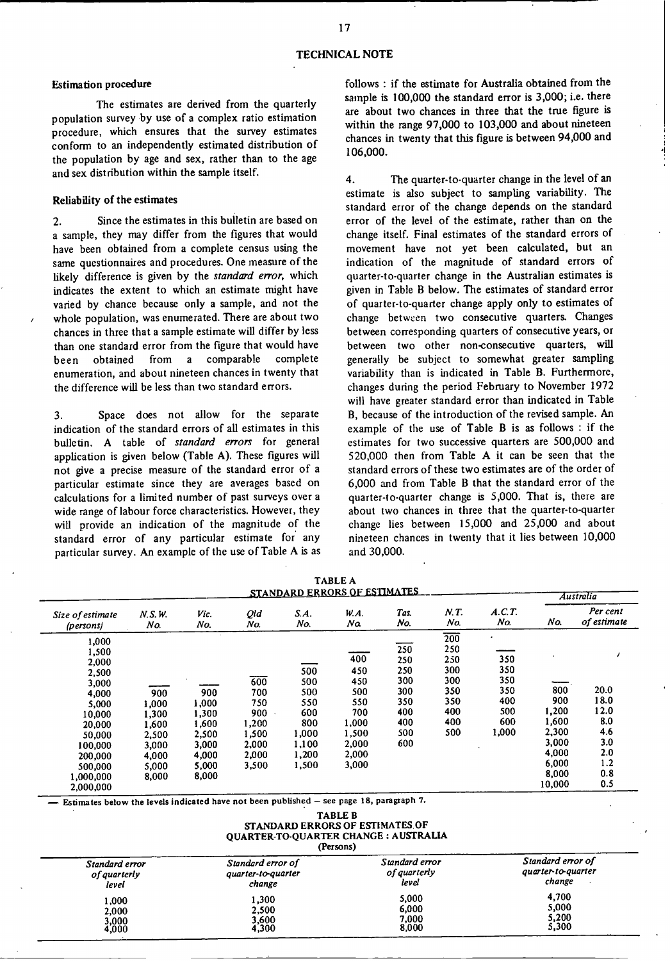### Estimation procedure

The estimates are derived from the quarterly population survey -by use of a complex ratio estimation procedure, which ensures that the survey estimates conform to an independently estimated distribution of the population by age and sex, rather than to the age and sex distribution within the sample itself.

### Reliability **of the estimates**

2. Since the estimates in this bulletin are based on a sample, they may differ from the figures that would have been obtained from a complete census using the same questionnaires and procedures. One measure of the likely difference is given by the *standard error*, which indicates the extent to which an estimate might have varied by chance because only a sample, and not the whole population, was enumerated. There are about two chances in three that a sample estimate will differ by less than one standard error from the figure that would have been obtained from a comparable complete enumeration, and about nineteen chances in twenty that the difference will be less than two standard errors.

3. Space does not allow for the separate indication of the standard errors of all estimates in this bulletin. A table of *standard errors* for general application is given below (Table A). These figures will not give a precise measure of the standard error of a particular estimate since they are averages based on calculations for a limited number of past surveys over a wide range of labour force characteristics. However, they will provide an indication of the magnitude of the standard error of any particular estimate for any particular survey. An example of the use of Table A is as follows : if the estimate for Australia obtained from the sample is 100,000 the standard error is 3,000; i.e. there are about two chances in three that the true figure is within the range 97,000 to 103,000 and about nineteen chances in twenty that this figure is between 94,000 and 106,000.

4. The quarter-to-quarter change in the level of an estimate is also subject to sampling variability. The standard error of the change depends on the standard error of the level of the estimate, rather than on the change itself. Final estimates of the standard errors of movement have not yet been calculated, but an indication of the magnitude of standard errors of quarter-to-quarter change in the Australian estimates is given in Table B below. The estimates of standard error of quarter-to-quarter change apply only to estimates of change between two consecutive quarters. Changes between corresponding quarters of consecutive years, or between two other non-consecutive quarters, will generally be subject to somewhat greater sampling variability than is indicated in Table B. Furthermore, changes during the period February to November 1972 will have greater standard error than indicated in Table B, because of the introduction of the revised sample. An example of the use of Table B is as follows : if the estimates for two successive quarters are 500,000 and 520,000 then from Table A it can be seen that the standard errors of these two estimates are of the order of 6,000 and from Table B that the standard error of the quarter-to-quarter change is 5,000. That is, there are about two chances in three that the quarter-to-quarter change lies between 15,000 and 25,000 and about **nineteen chances** in twenty that it lies between 10,000 and 30,000.

| TABLE A<br>STANDARD ERRORS OF ESTIMATES                                                                                                              |                                                                             |                                                                             |                                                                       |                                                                            |                                                                                     |                                                                    |                                                                                 |                                                        | Australia                                                                           |                                                                       |
|------------------------------------------------------------------------------------------------------------------------------------------------------|-----------------------------------------------------------------------------|-----------------------------------------------------------------------------|-----------------------------------------------------------------------|----------------------------------------------------------------------------|-------------------------------------------------------------------------------------|--------------------------------------------------------------------|---------------------------------------------------------------------------------|--------------------------------------------------------|-------------------------------------------------------------------------------------|-----------------------------------------------------------------------|
| Size of estimate<br>(persons)                                                                                                                        | N.S.W.<br>No.                                                               | Vic.<br>No.                                                                 | Qld<br>No.                                                            | S.A.<br>No.                                                                | W.A.<br>Na                                                                          | Tas.<br>No.                                                        | N.T.<br>No.                                                                     | A.C.T.<br>No.                                          | No.                                                                                 | Per cent<br>of estimate                                               |
| 1,000<br>1,500<br>2,000<br>2,500<br>3,000<br>4,000<br>5,000<br>10,000<br>20,000<br>50,000<br>100,000<br>200,000<br>500,000<br>1,000,000<br>2.000.000 | 900<br>1.000<br>1,300<br>1,600<br>2,500<br>3,000<br>4,000<br>5,000<br>8,000 | 900<br>1,000<br>1,300<br>1,600<br>2,500<br>3,000<br>4,000<br>5,000<br>8,000 | 600<br>700<br>750<br>900<br>1,200<br>1,500<br>2,000<br>2,000<br>3,500 | 500<br>500<br>500<br>550<br>600<br>800<br>1,000<br>1,100<br>1,200<br>1,500 | 400<br>450<br>450<br>500<br>550<br>700<br>1,000<br>1,500<br>2,000<br>2,000<br>3,000 | 250<br>250<br>250<br>300<br>300<br>350<br>400<br>400<br>500<br>600 | $\overline{200}$<br>250<br>250<br>300<br>300<br>350<br>350<br>400<br>400<br>500 | 350<br>350<br>350<br>350<br>400<br>500<br>600<br>1,000 | 800<br>900<br>1,200<br>1,600<br>2,300<br>3,000<br>4,000<br>6,000<br>8,000<br>10,000 | 20.0<br>18.0<br>12.0<br>8.0<br>4.6<br>3.0<br>2.0<br>1.2<br>0.8<br>0.5 |

**- Estimates below the levels indicated have not been published** - **see page 18, paragraph 7.**

**TABLE B** STANDARD **ERRORS OF** ESTIMATES.OF QUARTER-TO-QUARTER CHANGE : AUSTRALIA **(Persons)**

| Standard error<br>of guarterly<br>level | Standard error of<br>quarter-to-quarter<br>change | Standard error<br>of quarterly<br>level | Standard error of<br>quarter-to-quarter<br>change |
|-----------------------------------------|---------------------------------------------------|-----------------------------------------|---------------------------------------------------|
| 1,000<br>2,000<br>3,000<br>4,000        | 1,300<br>2.500<br>3,600<br>4,300                  | 5.000<br>6,000<br>7,000<br>8,000        | 4,700<br>5,000<br>5,200<br>5,300                  |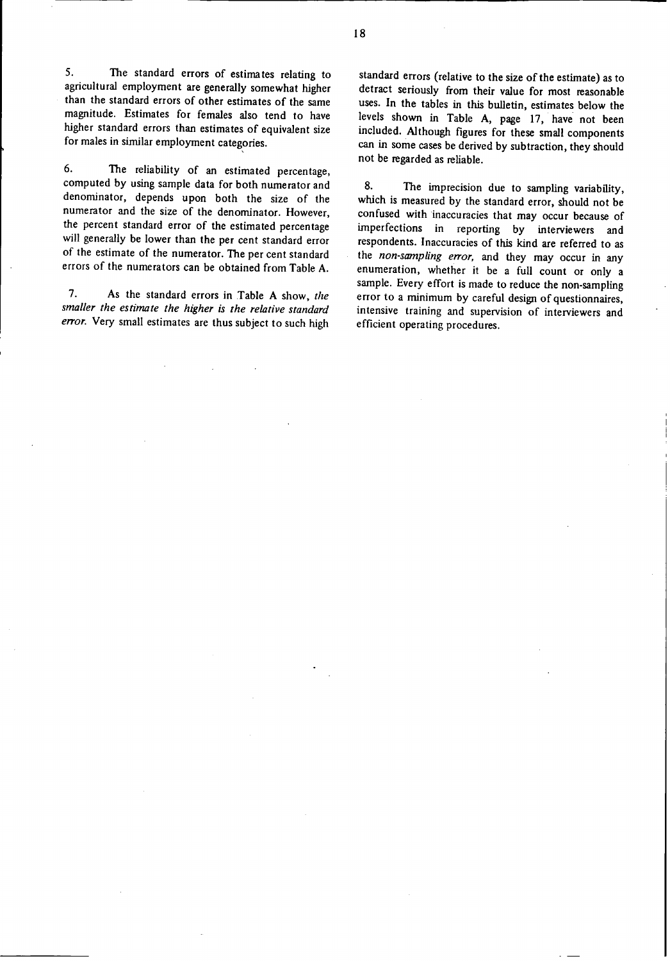5. The standard errors **of** estimates relating to agricultural employment are generally somewhat higher than the standard errors of other estimates of the same magnitude. Estimates for females also tend to have higher standard errors than estimates of equivalent size for males in similar employment categories.

6. The reliability of an estimated percentage, computed by using sample data for both numerator and denominator, depends upon both the size of the numerator and the size of the denominator. However, the percent standard error of the estimated percentage will generally be lower than the per cent standard error of the estimate of the numerator. The per cent standard errors of the numerators can be obtained from Table A.

7. As the standard errors in Table A show, the *smaller the estimate the higher is the relative standard error.* Very small estimates are thus subject to such high

standard errors (relative **to the** size **of the** estimate) as to detract seriously from their value for most reasonable uses. In the tables in this bulletin, estimates below **the** levels shown in Table A, page 17, have not been included. Although **figures** for these small components can in some cases be derived by subtraction, they should not be regarded as reliable.

8. The imprecision due to sampling variability, which is measured by the standard error, should not be confused with inaccuracies that may occur because of imperfections in reporting by interviewers and respondents. Inaccuracies of this kind are referred to as **the** *non-sampling error,* and they **may** occur in **any** enumeration, whether it be a full count or only a sample. Every effort is made to reduce the non-sampling error to a minimum by careful design of questionnaires, intensive training and supervision of interviewers and efficient operating procedures.